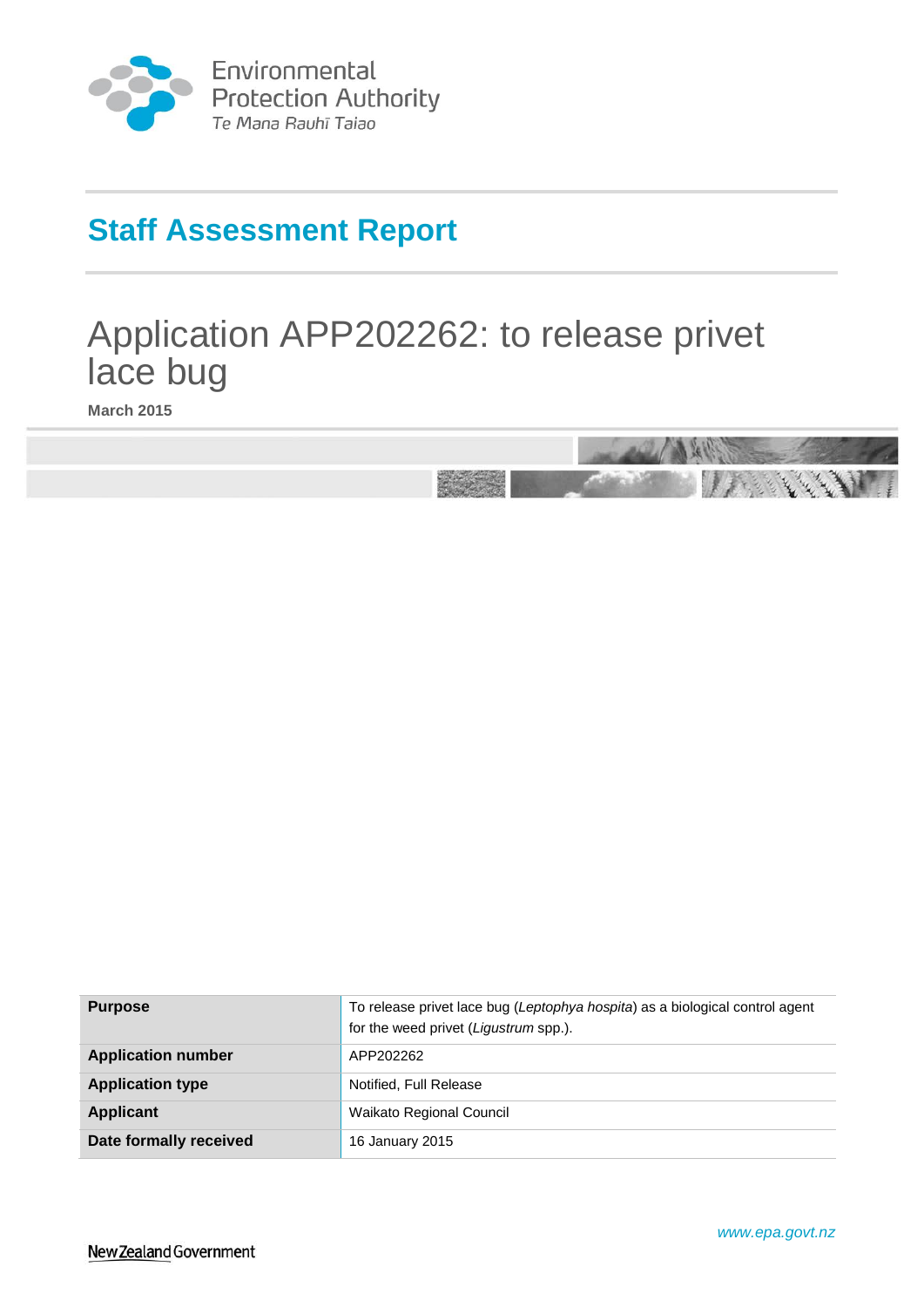

Environmental<br>Protection Authority Te Mana Rauhī Tajao

# **Staff Assessment Report**

# Application APP202262: to release privet lace bug

**March 2015**



<span id="page-0-0"></span>

| <b>Purpose</b>            | To release privet lace bug (Leptophya hospita) as a biological control agent<br>for the weed privet (Ligustrum spp.). |  |
|---------------------------|-----------------------------------------------------------------------------------------------------------------------|--|
| <b>Application number</b> | APP202262                                                                                                             |  |
| <b>Application type</b>   | Notified, Full Release                                                                                                |  |
| Applicant                 | Waikato Regional Council                                                                                              |  |
| Date formally received    | 16 January 2015                                                                                                       |  |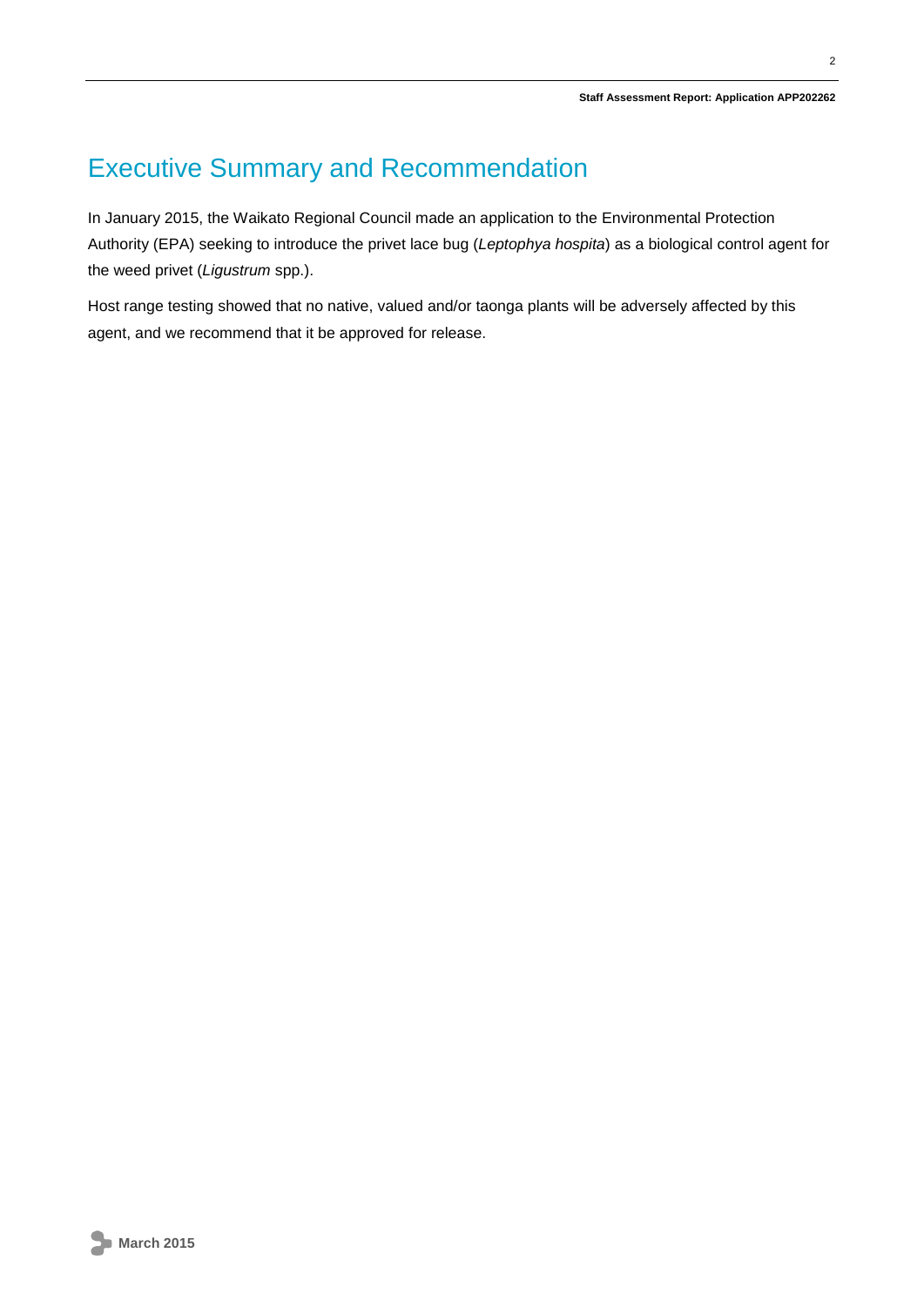## Executive Summary and Recommendation

In January 2015, the Waikato Regional Council made an application to the Environmental Protection Authority (EPA) seeking to introduce the privet lace bug (*Leptophya hospita*) as a biological control agent for the weed privet (*Ligustrum* spp.).

Host range testing showed that no native, valued and/or taonga plants will be adversely affected by this agent, and we recommend that it be approved for release.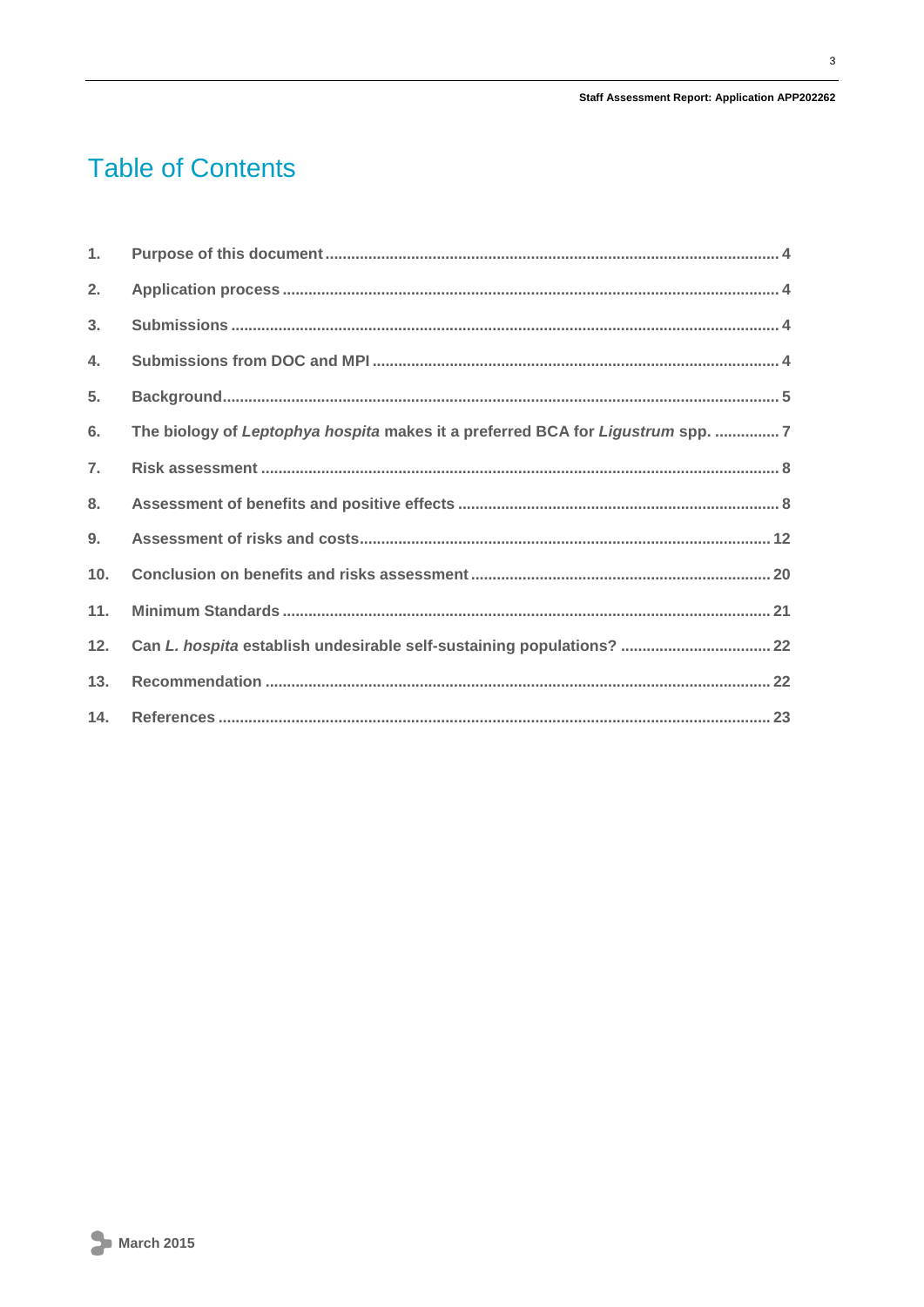#### Staff Assessment Report: Application APP202262

# **Table of Contents**

| 1.             |                                                                                |
|----------------|--------------------------------------------------------------------------------|
| 2.             |                                                                                |
| 3.             |                                                                                |
| 4.             |                                                                                |
| 5.             |                                                                                |
| 6.             | The biology of Leptophya hospita makes it a preferred BCA for Ligustrum spp. 7 |
| 7.             |                                                                                |
| 8 <sub>1</sub> |                                                                                |
| 9.             |                                                                                |
| 10.            |                                                                                |
| 11.            |                                                                                |
| 12.            | Can L. hospita establish undesirable self-sustaining populations?  22          |
| 13.            |                                                                                |
| 14.            |                                                                                |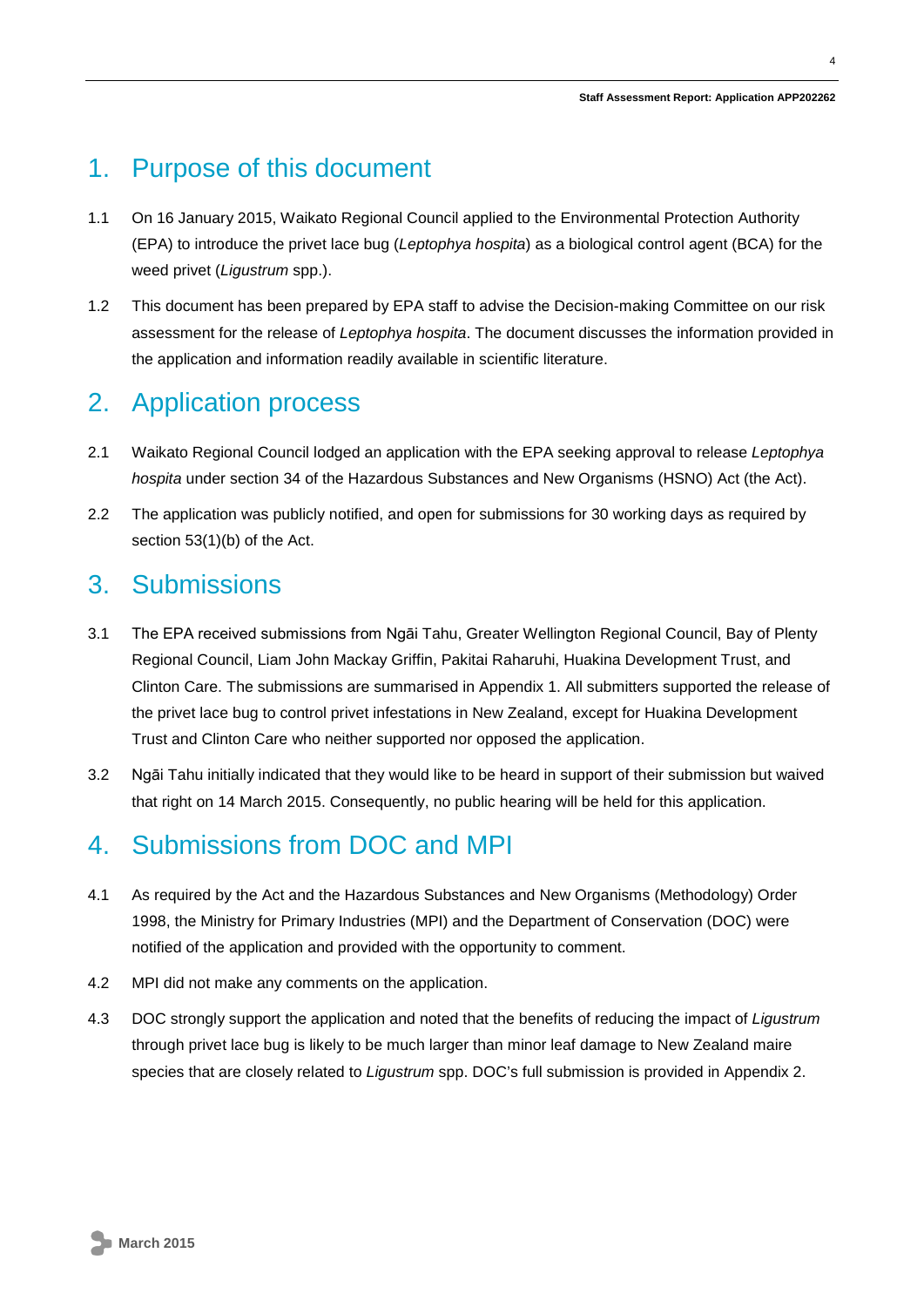## <span id="page-3-0"></span>1. Purpose of this document

- 1.1 On 16 January 2015, Waikato Regional Council applied to the Environmental Protection Authority (EPA) to introduce the privet lace bug (*Leptophya hospita*) as a biological control agent (BCA) for the weed privet (*Ligustrum* spp.).
- 1.2 This document has been prepared by EPA staff to advise the Decision-making Committee on our risk assessment for the release of *Leptophya hospita*. The document discusses the information provided in the application and information readily available in scientific literature.

## <span id="page-3-1"></span>2. Application process

- 2.1 Waikato Regional Council lodged an application with the EPA seeking approval to release *Leptophya hospita* under section 34 of the Hazardous Substances and New Organisms (HSNO) Act (the Act).
- 2.2 The application was publicly notified, and open for submissions for 30 working days as required by section 53(1)(b) of the Act.

## <span id="page-3-2"></span>3. Submissions

- 3.1 The EPA received submissions from Ngāi Tahu, Greater Wellington Regional Council, Bay of Plenty Regional Council, Liam John Mackay Griffin, Pakitai Raharuhi, Huakina Development Trust, and Clinton Care. The submissions are summarised in Appendix 1. All submitters supported the release of the privet lace bug to control privet infestations in New Zealand, except for Huakina Development Trust and Clinton Care who neither supported nor opposed the application.
- 3.2 Ngāi Tahu initially indicated that they would like to be heard in support of their submission but waived that right on 14 March 2015. Consequently, no public hearing will be held for this application.

## <span id="page-3-3"></span>4. Submissions from DOC and MPI

- 4.1 As required by the Act and the Hazardous Substances and New Organisms (Methodology) Order 1998, the Ministry for Primary Industries (MPI) and the Department of Conservation (DOC) were notified of the application and provided with the opportunity to comment.
- 4.2 MPI did not make any comments on the application.
- 4.3 DOC strongly support the application and noted that the benefits of reducing the impact of *Ligustrum* through privet lace bug is likely to be much larger than minor leaf damage to New Zealand maire species that are closely related to *Ligustrum* spp. DOC's full submission is provided in Appendix 2.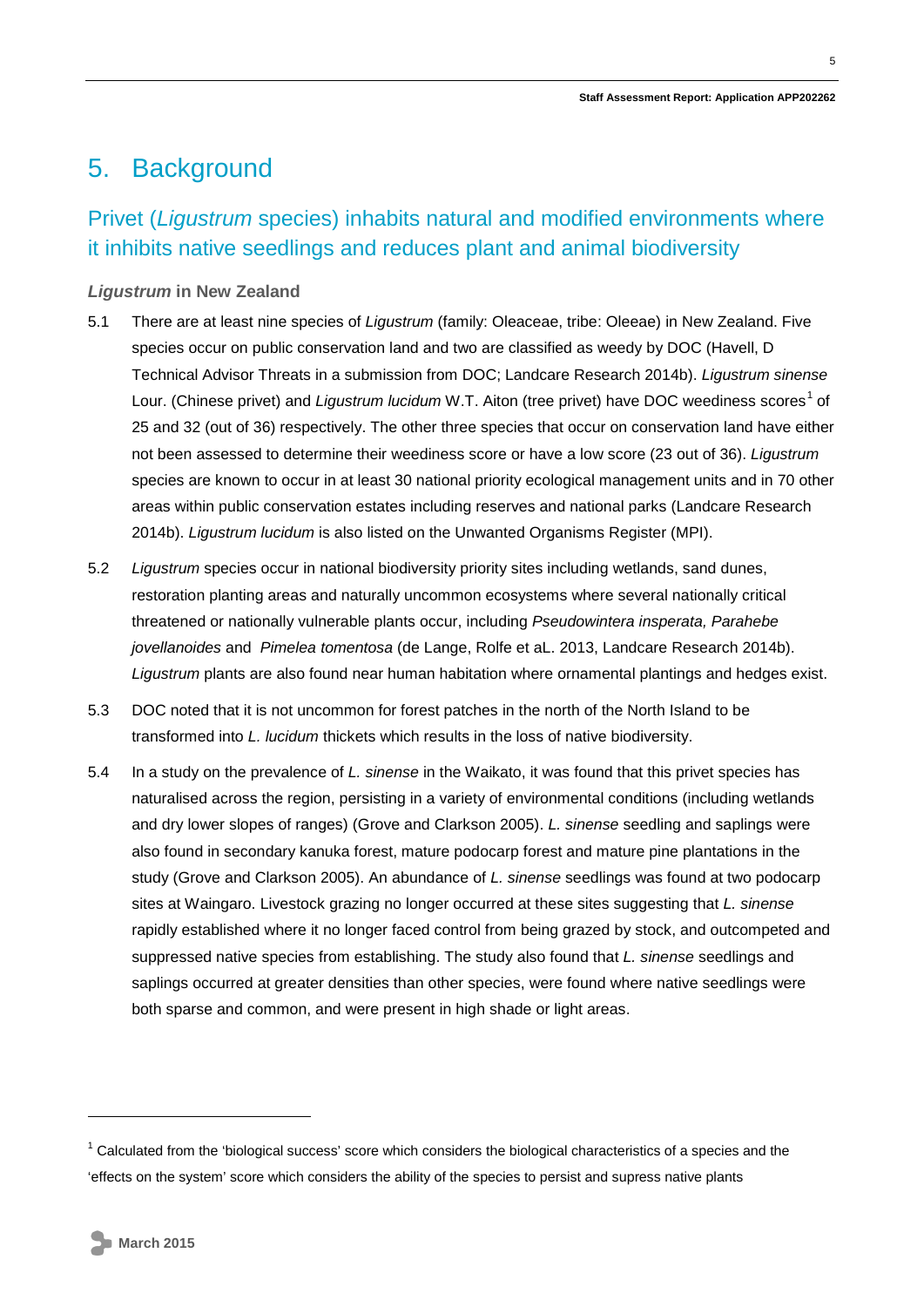## <span id="page-4-0"></span>5. Background

### Privet (*Ligustrum* species) inhabits natural and modified environments where it inhibits native seedlings and reduces plant and animal biodiversity

#### *Ligustrum* **in New Zealand**

- 5.1 There are at least nine species of *Ligustrum* (family: Oleaceae, tribe: Oleeae) in New Zealand. Five species occur on public conservation land and two are classified as weedy by DOC (Havell, D Technical Advisor Threats in a submission from DOC; Landcare Research 2014b). *Ligustrum sinense* Lour. (Chinese privet) and *Ligustrum lucidum* W.T. Aiton (tree privet) have DOC weediness scores<sup>[1](#page-0-0)</sup> of 25 and 32 (out of 36) respectively. The other three species that occur on conservation land have either not been assessed to determine their weediness score or have a low score (23 out of 36). *Ligustrum*  species are known to occur in at least 30 national priority ecological management units and in 70 other areas within public conservation estates including reserves and national parks (Landcare Research 2014b). *Ligustrum lucidum* is also listed on the Unwanted Organisms Register (MPI).
- 5.2 *Ligustrum* species occur in national biodiversity priority sites including wetlands, sand dunes, restoration planting areas and naturally uncommon ecosystems where several nationally critical threatened or nationally vulnerable plants occur, including *Pseudowintera insperata, Parahebe jovellanoides* and *Pimelea tomentosa* (de Lange, Rolfe et aL. 2013, Landcare Research 2014b). *Ligustrum* plants are also found near human habitation where ornamental plantings and hedges exist.
- 5.3 DOC noted that it is not uncommon for forest patches in the north of the North Island to be transformed into *L. lucidum* thickets which results in the loss of native biodiversity.
- 5.4 In a study on the prevalence of *L. sinense* in the Waikato, it was found that this privet species has naturalised across the region, persisting in a variety of environmental conditions (including wetlands and dry lower slopes of ranges) (Grove and Clarkson 2005). *L. sinense* seedling and saplings were also found in secondary kanuka forest, mature podocarp forest and mature pine plantations in the study (Grove and Clarkson 2005). An abundance of *L. sinense* seedlings was found at two podocarp sites at Waingaro. Livestock grazing no longer occurred at these sites suggesting that *L. sinense* rapidly established where it no longer faced control from being grazed by stock, and outcompeted and suppressed native species from establishing. The study also found that *L. sinense* seedlings and saplings occurred at greater densities than other species, were found where native seedlings were both sparse and common, and were present in high shade or light areas.

-

<span id="page-4-1"></span> $1$  Calculated from the 'biological success' score which considers the biological characteristics of a species and the 'effects on the system' score which considers the ability of the species to persist and supress native plants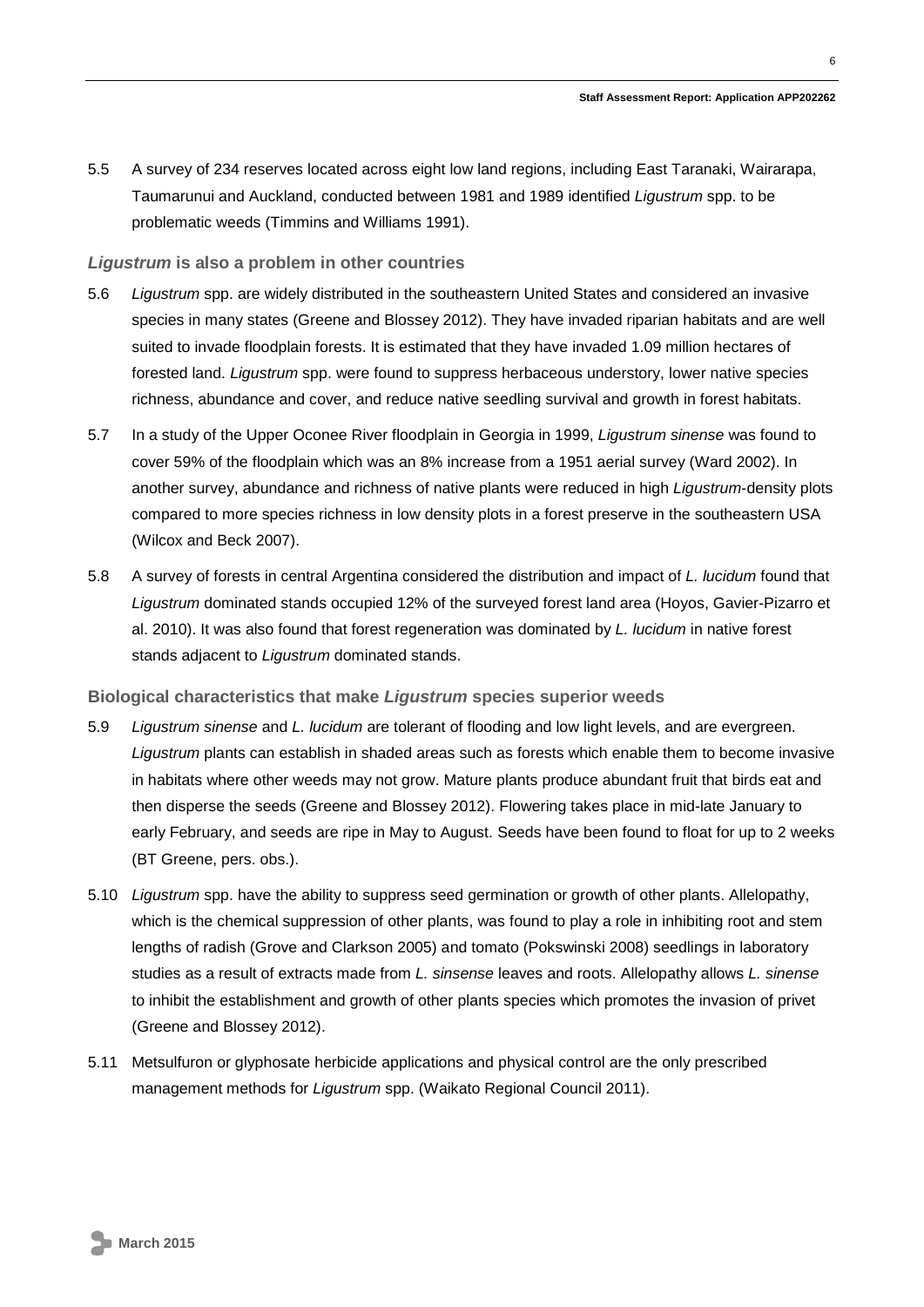5.5 A survey of 234 reserves located across eight low land regions, including East Taranaki, Wairarapa, Taumarunui and Auckland, conducted between 1981 and 1989 identified *Ligustrum* spp. to be problematic weeds (Timmins and Williams 1991).

#### *Ligustrum* **is also a problem in other countries**

- 5.6 *Ligustrum* spp. are widely distributed in the southeastern United States and considered an invasive species in many states (Greene and Blossey 2012). They have invaded riparian habitats and are well suited to invade floodplain forests. It is estimated that they have invaded 1.09 million hectares of forested land. *Ligustrum* spp. were found to suppress herbaceous understory, lower native species richness, abundance and cover, and reduce native seedling survival and growth in forest habitats.
- 5.7 In a study of the Upper Oconee River floodplain in Georgia in 1999, *Ligustrum sinense* was found to cover 59% of the floodplain which was an 8% increase from a 1951 aerial survey (Ward 2002). In another survey, abundance and richness of native plants were reduced in high *Ligustrum*-density plots compared to more species richness in low density plots in a forest preserve in the southeastern USA (Wilcox and Beck 2007).
- 5.8 A survey of forests in central Argentina considered the distribution and impact of *L. lucidum* found that *Ligustrum* dominated stands occupied 12% of the surveyed forest land area (Hoyos, Gavier-Pizarro et al. 2010). It was also found that forest regeneration was dominated by *L. lucidum* in native forest stands adjacent to *Ligustrum* dominated stands.

#### **Biological characteristics that make** *Ligustrum* **species superior weeds**

- 5.9 *Ligustrum sinense* and *L. lucidum* are tolerant of flooding and low light levels, and are evergreen. *Ligustrum* plants can establish in shaded areas such as forests which enable them to become invasive in habitats where other weeds may not grow. Mature plants produce abundant fruit that birds eat and then disperse the seeds (Greene and Blossey 2012). Flowering takes place in mid-late January to early February, and seeds are ripe in May to August. Seeds have been found to float for up to 2 weeks (BT Greene, pers. obs.).
- 5.10 *Ligustrum* spp. have the ability to suppress seed germination or growth of other plants. Allelopathy, which is the chemical suppression of other plants, was found to play a role in inhibiting root and stem lengths of radish (Grove and Clarkson 2005) and tomato (Pokswinski 2008) seedlings in laboratory studies as a result of extracts made from *L. sinsense* leaves and roots. Allelopathy allows *L. sinense* to inhibit the establishment and growth of other plants species which promotes the invasion of privet (Greene and Blossey 2012).
- 5.11 Metsulfuron or glyphosate herbicide applications and physical control are the only prescribed management methods for *Ligustrum* spp. (Waikato Regional Council 2011).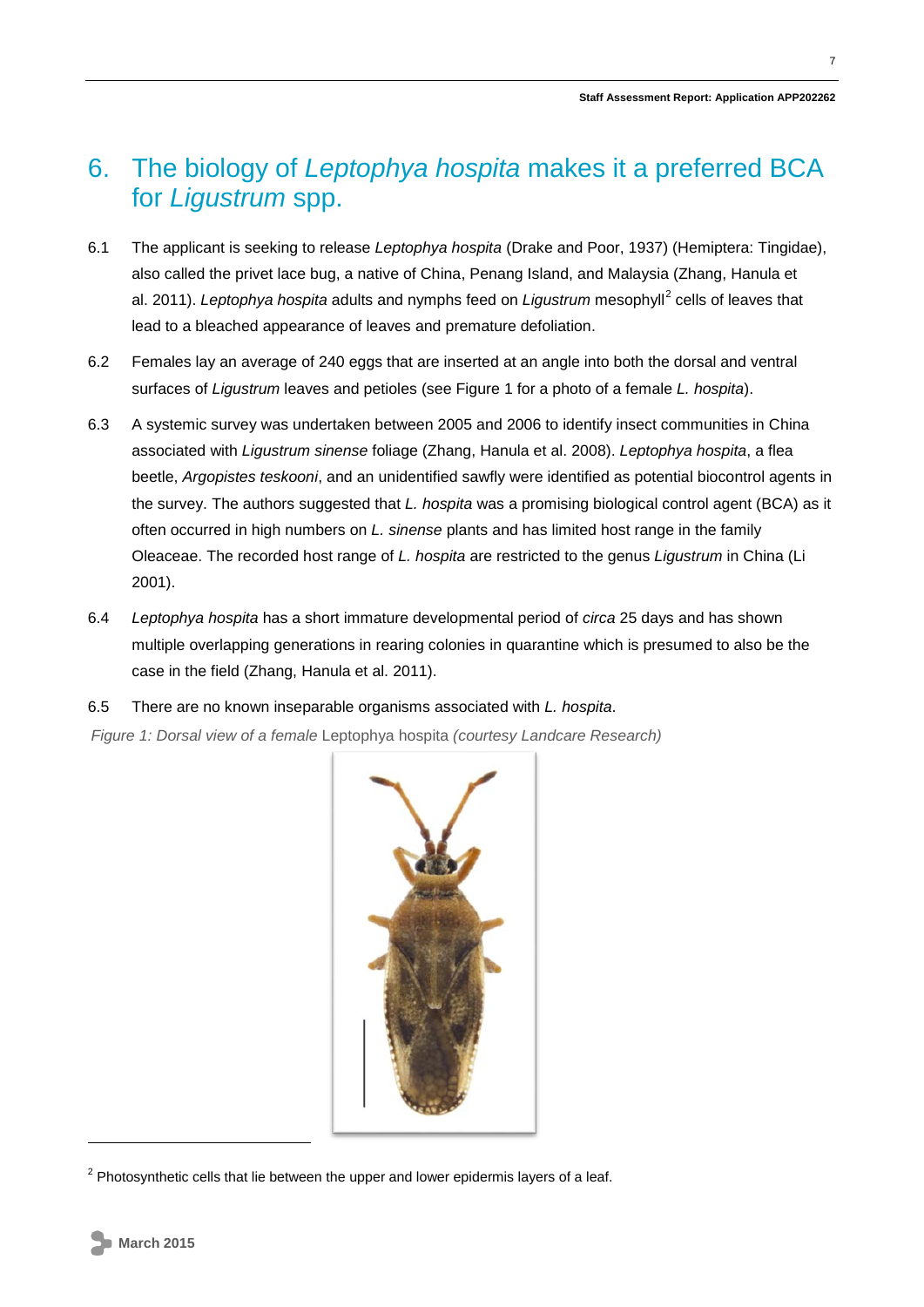## <span id="page-6-0"></span>6. The biology of *Leptophya hospita* makes it a preferred BCA for *Ligustrum* spp.

- 6.1 The applicant is seeking to release *Leptophya hospita* (Drake and Poor, 1937) (Hemiptera: Tingidae), also called the privet lace bug, a native of China, Penang Island, and Malaysia (Zhang, Hanula et al. [2](#page-4-1)011). *Leptophya hospita* adults and nymphs feed on *Ligustrum* mesophyll<sup>2</sup> cells of leaves that lead to a bleached appearance of leaves and premature defoliation.
- 6.2 Females lay an average of 240 eggs that are inserted at an angle into both the dorsal and ventral surfaces of *Ligustrum* leaves and petioles (see Figure 1 for a photo of a female *L. hospita*).
- 6.3 A systemic survey was undertaken between 2005 and 2006 to identify insect communities in China associated with *Ligustrum sinense* foliage (Zhang, Hanula et al. 2008). *Leptophya hospita*, a flea beetle, *Argopistes teskooni*, and an unidentified sawfly were identified as potential biocontrol agents in the survey. The authors suggested that *L. hospita* was a promising biological control agent (BCA) as it often occurred in high numbers on *L. sinense* plants and has limited host range in the family Oleaceae. The recorded host range of *L. hospita* are restricted to the genus *Ligustrum* in China (Li 2001).
- 6.4 *Leptophya hospita* has a short immature developmental period of *circa* 25 days and has shown multiple overlapping generations in rearing colonies in quarantine which is presumed to also be the case in the field (Zhang, Hanula et al. 2011).
- 6.5 There are no known inseparable organisms associated with *L. hospita*.

*Figure 1: Dorsal view of a female* Leptophya hospita *(courtesy Landcare Research)*



 $2$  Photosynthetic cells that lie between the upper and lower epidermis layers of a leaf.

<span id="page-6-1"></span>-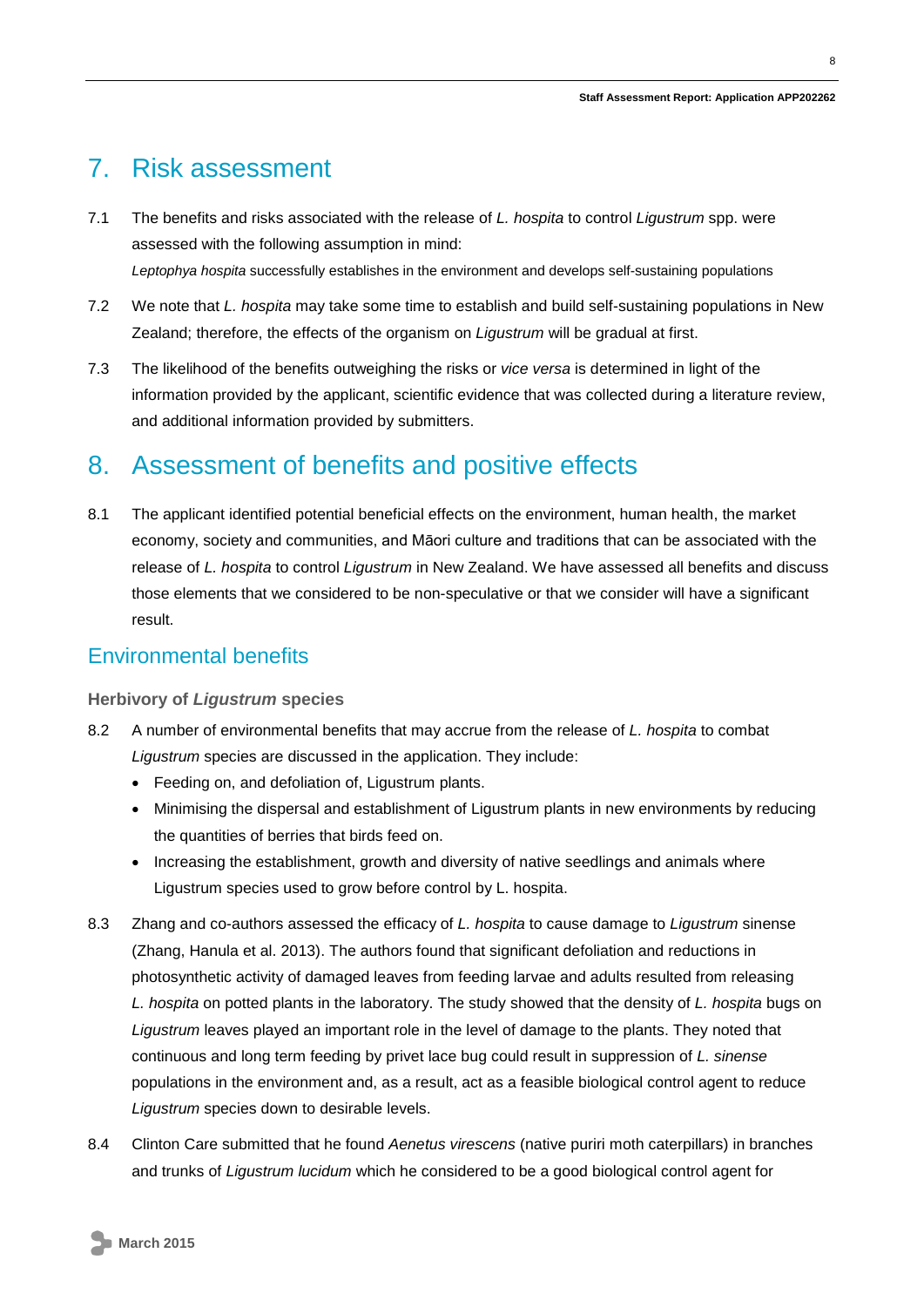## <span id="page-7-0"></span>7. Risk assessment

- 7.1 The benefits and risks associated with the release of *L. hospita* to control *Ligustrum* spp. were assessed with the following assumption in mind: *Leptophya hospita* successfully establishes in the environment and develops self-sustaining populations
- 7.2 We note that *L. hospita* may take some time to establish and build self-sustaining populations in New Zealand; therefore, the effects of the organism on *Ligustrum* will be gradual at first.
- 7.3 The likelihood of the benefits outweighing the risks or *vice versa* is determined in light of the information provided by the applicant, scientific evidence that was collected during a literature review, and additional information provided by submitters.

### <span id="page-7-1"></span>8. Assessment of benefits and positive effects

8.1 The applicant identified potential beneficial effects on the environment, human health, the market economy, society and communities, and Māori culture and traditions that can be associated with the release of *L. hospita* to control *Ligustrum* in New Zealand. We have assessed all benefits and discuss those elements that we considered to be non-speculative or that we consider will have a significant result.

### Environmental benefits

#### **Herbivory of** *Ligustrum* **species**

- 8.2 A number of environmental benefits that may accrue from the release of *L. hospita* to combat *Ligustrum* species are discussed in the application. They include:
	- Feeding on, and defoliation of, Ligustrum plants.
	- Minimising the dispersal and establishment of Ligustrum plants in new environments by reducing the quantities of berries that birds feed on.
	- Increasing the establishment, growth and diversity of native seedlings and animals where Ligustrum species used to grow before control by L. hospita.
- 8.3 Zhang and co-authors assessed the efficacy of *L. hospita* to cause damage to *Ligustrum* sinense (Zhang, Hanula et al. 2013). The authors found that significant defoliation and reductions in photosynthetic activity of damaged leaves from feeding larvae and adults resulted from releasing *L. hospita* on potted plants in the laboratory. The study showed that the density of *L. hospita* bugs on *Ligustrum* leaves played an important role in the level of damage to the plants. They noted that continuous and long term feeding by privet lace bug could result in suppression of *L. sinense* populations in the environment and, as a result, act as a feasible biological control agent to reduce *Ligustrum* species down to desirable levels.
- 8.4 Clinton Care submitted that he found *Aenetus virescens* (native puriri moth caterpillars) in branches and trunks of *Ligustrum lucidum* which he considered to be a good biological control agent for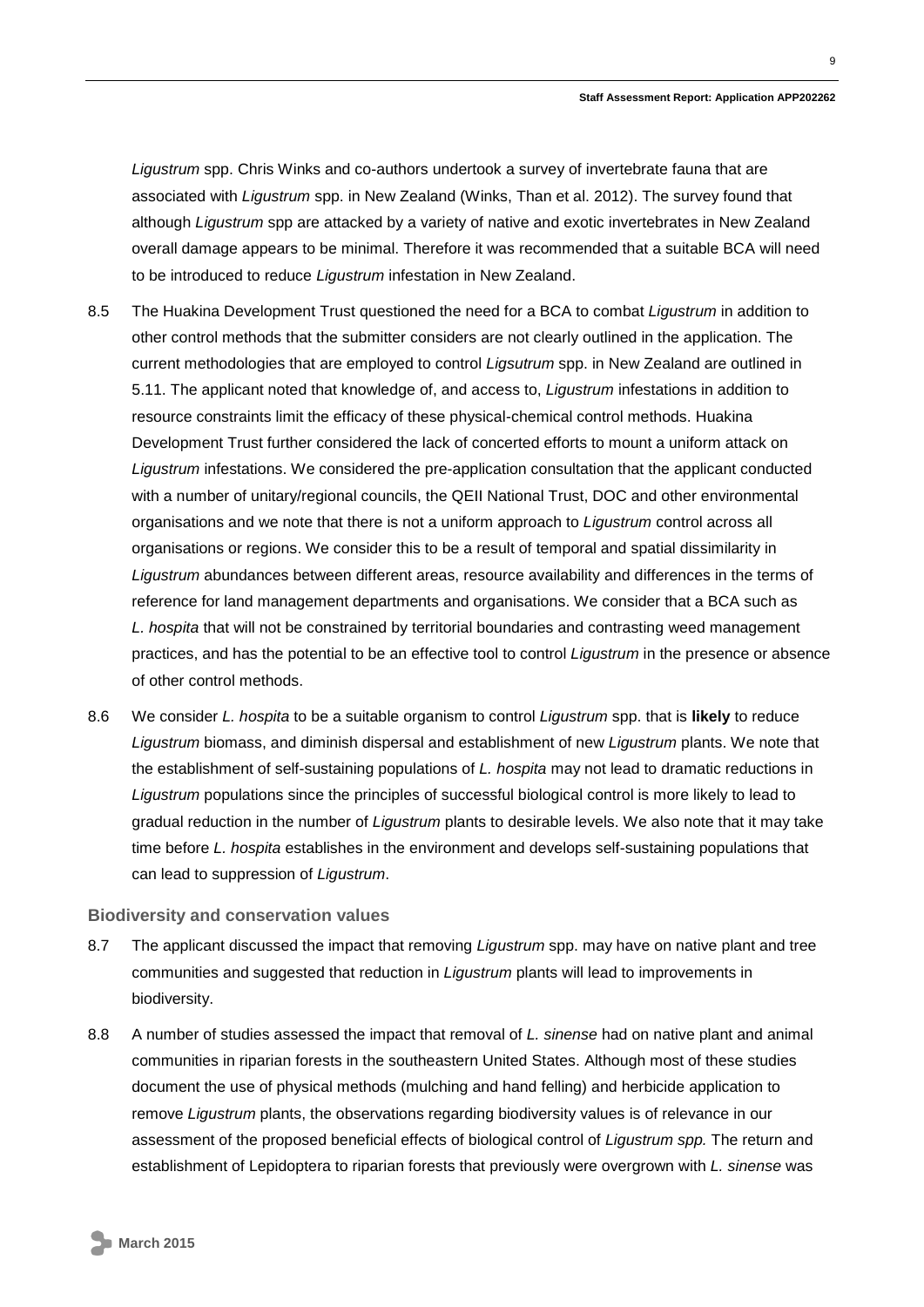*Ligustrum* spp. Chris Winks and co-authors undertook a survey of invertebrate fauna that are associated with *Ligustrum* spp. in New Zealand (Winks, Than et al. 2012). The survey found that although *Ligustrum* spp are attacked by a variety of native and exotic invertebrates in New Zealand overall damage appears to be minimal. Therefore it was recommended that a suitable BCA will need to be introduced to reduce *Ligustrum* infestation in New Zealand.

- 8.5 The Huakina Development Trust questioned the need for a BCA to combat *Ligustrum* in addition to other control methods that the submitter considers are not clearly outlined in the application. The current methodologies that are employed to control *Ligsutrum* spp. in New Zealand are outlined in 5.11. The applicant noted that knowledge of, and access to, *Ligustrum* infestations in addition to resource constraints limit the efficacy of these physical-chemical control methods. Huakina Development Trust further considered the lack of concerted efforts to mount a uniform attack on *Ligustrum* infestations. We considered the pre-application consultation that the applicant conducted with a number of unitary/regional councils, the QEII National Trust, DOC and other environmental organisations and we note that there is not a uniform approach to *Ligustrum* control across all organisations or regions. We consider this to be a result of temporal and spatial dissimilarity in *Ligustrum* abundances between different areas, resource availability and differences in the terms of reference for land management departments and organisations. We consider that a BCA such as *L. hospita* that will not be constrained by territorial boundaries and contrasting weed management practices, and has the potential to be an effective tool to control *Ligustrum* in the presence or absence of other control methods.
- 8.6 We consider *L. hospita* to be a suitable organism to control *Ligustrum* spp. that is **likely** to reduce *Ligustrum* biomass, and diminish dispersal and establishment of new *Ligustrum* plants. We note that the establishment of self-sustaining populations of *L. hospita* may not lead to dramatic reductions in *Ligustrum* populations since the principles of successful biological control is more likely to lead to gradual reduction in the number of *Ligustrum* plants to desirable levels. We also note that it may take time before *L. hospita* establishes in the environment and develops self-sustaining populations that can lead to suppression of *Ligustrum*.

#### **Biodiversity and conservation values**

- 8.7 The applicant discussed the impact that removing *Ligustrum* spp. may have on native plant and tree communities and suggested that reduction in *Ligustrum* plants will lead to improvements in biodiversity.
- 8.8 A number of studies assessed the impact that removal of *L. sinense* had on native plant and animal communities in riparian forests in the southeastern United States. Although most of these studies document the use of physical methods (mulching and hand felling) and herbicide application to remove *Ligustrum* plants, the observations regarding biodiversity values is of relevance in our assessment of the proposed beneficial effects of biological control of *Ligustrum spp.* The return and establishment of Lepidoptera to riparian forests that previously were overgrown with *L. sinense* was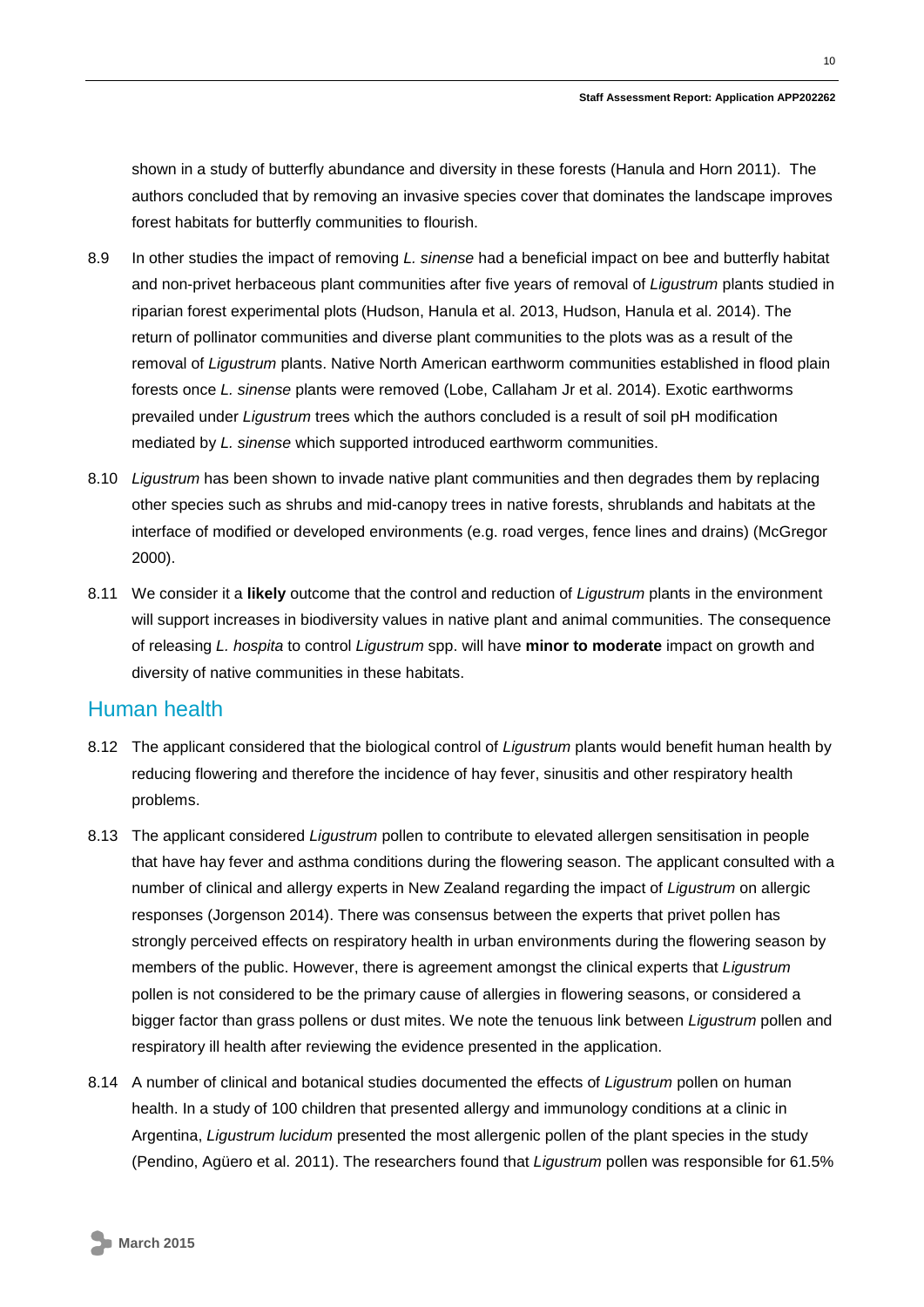shown in a study of butterfly abundance and diversity in these forests (Hanula and Horn 2011). The authors concluded that by removing an invasive species cover that dominates the landscape improves forest habitats for butterfly communities to flourish.

- 8.9 In other studies the impact of removing *L. sinense* had a beneficial impact on bee and butterfly habitat and non-privet herbaceous plant communities after five years of removal of *Ligustrum* plants studied in riparian forest experimental plots (Hudson, Hanula et al. 2013, Hudson, Hanula et al. 2014). The return of pollinator communities and diverse plant communities to the plots was as a result of the removal of *Ligustrum* plants. Native North American earthworm communities established in flood plain forests once *L. sinense* plants were removed (Lobe, Callaham Jr et al. 2014). Exotic earthworms prevailed under *Ligustrum* trees which the authors concluded is a result of soil pH modification mediated by *L. sinense* which supported introduced earthworm communities.
- 8.10 *Ligustrum* has been shown to invade native plant communities and then degrades them by replacing other species such as shrubs and mid-canopy trees in native forests, shrublands and habitats at the interface of modified or developed environments (e.g. road verges, fence lines and drains) (McGregor 2000).
- 8.11 We consider it a **likely** outcome that the control and reduction of *Ligustrum* plants in the environment will support increases in biodiversity values in native plant and animal communities. The consequence of releasing *L. hospita* to control *Ligustrum* spp. will have **minor to moderate** impact on growth and diversity of native communities in these habitats.

#### Human health

- 8.12 The applicant considered that the biological control of *Ligustrum* plants would benefit human health by reducing flowering and therefore the incidence of hay fever, sinusitis and other respiratory health problems.
- 8.13 The applicant considered *Ligustrum* pollen to contribute to elevated allergen sensitisation in people that have hay fever and asthma conditions during the flowering season. The applicant consulted with a number of clinical and allergy experts in New Zealand regarding the impact of *Ligustrum* on allergic responses (Jorgenson 2014). There was consensus between the experts that privet pollen has strongly perceived effects on respiratory health in urban environments during the flowering season by members of the public. However, there is agreement amongst the clinical experts that *Ligustrum*  pollen is not considered to be the primary cause of allergies in flowering seasons, or considered a bigger factor than grass pollens or dust mites. We note the tenuous link between *Ligustrum* pollen and respiratory ill health after reviewing the evidence presented in the application.
- 8.14 A number of clinical and botanical studies documented the effects of *Ligustrum* pollen on human health. In a study of 100 children that presented allergy and immunology conditions at a clinic in Argentina, *Ligustrum lucidum* presented the most allergenic pollen of the plant species in the study (Pendino, Agüero et al. 2011). The researchers found that *Ligustrum* pollen was responsible for 61.5%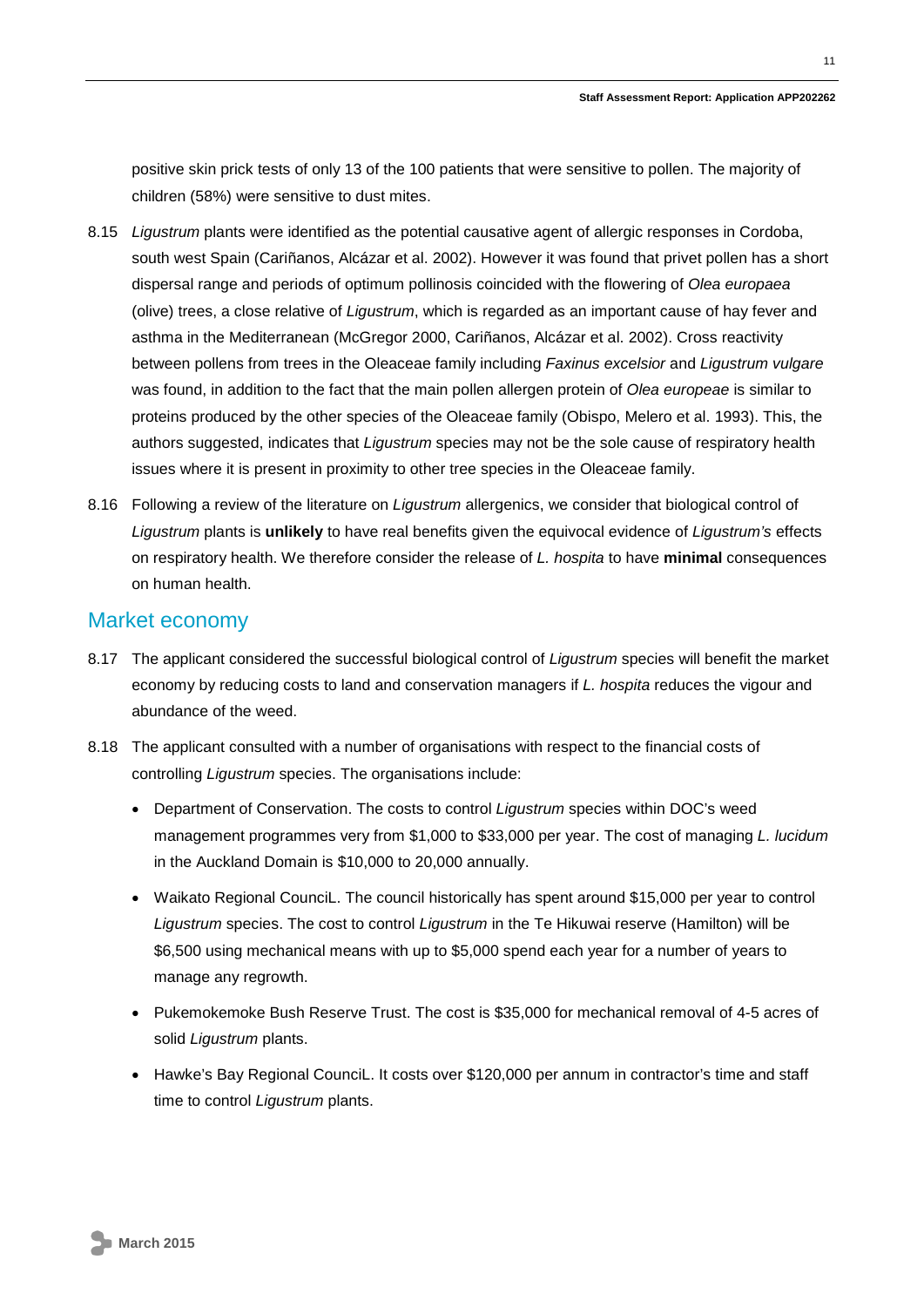positive skin prick tests of only 13 of the 100 patients that were sensitive to pollen. The majority of children (58%) were sensitive to dust mites.

- 8.15 *Ligustrum* plants were identified as the potential causative agent of allergic responses in Cordoba, south west Spain (Cariñanos, Alcázar et al. 2002). However it was found that privet pollen has a short dispersal range and periods of optimum pollinosis coincided with the flowering of *Olea europaea* (olive) trees, a close relative of *Ligustrum*, which is regarded as an important cause of hay fever and asthma in the Mediterranean (McGregor 2000, Cariñanos, Alcázar et al. 2002). Cross reactivity between pollens from trees in the Oleaceae family including *Faxinus excelsior* and *Ligustrum vulgare* was found, in addition to the fact that the main pollen allergen protein of *Olea europeae* is similar to proteins produced by the other species of the Oleaceae family (Obispo, Melero et al. 1993). This, the authors suggested, indicates that *Ligustrum* species may not be the sole cause of respiratory health issues where it is present in proximity to other tree species in the Oleaceae family.
- 8.16 Following a review of the literature on *Ligustrum* allergenics, we consider that biological control of *Ligustrum* plants is **unlikely** to have real benefits given the equivocal evidence of *Ligustrum's* effects on respiratory health. We therefore consider the release of *L. hospita* to have **minimal** consequences on human health.

#### Market economy

- 8.17 The applicant considered the successful biological control of *Ligustrum* species will benefit the market economy by reducing costs to land and conservation managers if *L. hospita* reduces the vigour and abundance of the weed.
- 8.18 The applicant consulted with a number of organisations with respect to the financial costs of controlling *Ligustrum* species. The organisations include:
	- Department of Conservation. The costs to control *Ligustrum* species within DOC's weed management programmes very from \$1,000 to \$33,000 per year. The cost of managing *L. lucidum* in the Auckland Domain is \$10,000 to 20,000 annually.
	- Waikato Regional CounciL. The council historically has spent around \$15,000 per year to control *Ligustrum* species. The cost to control *Ligustrum* in the Te Hikuwai reserve (Hamilton) will be \$6,500 using mechanical means with up to \$5,000 spend each year for a number of years to manage any regrowth.
	- Pukemokemoke Bush Reserve Trust. The cost is \$35,000 for mechanical removal of 4-5 acres of solid *Ligustrum* plants.
	- Hawke's Bay Regional CounciL. It costs over \$120,000 per annum in contractor's time and staff time to control *Ligustrum* plants.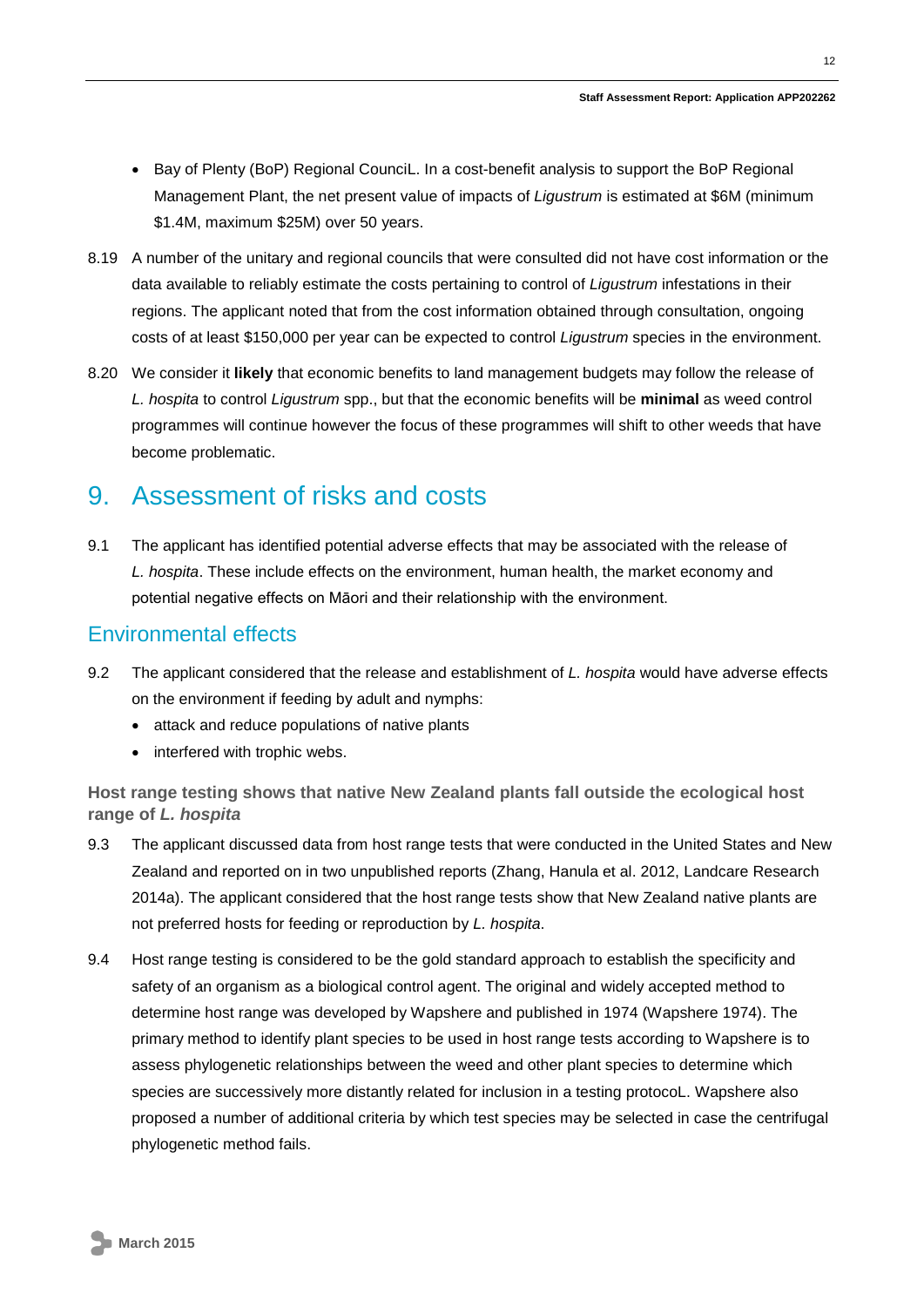- Bay of Plenty (BoP) Regional CounciL. In a cost-benefit analysis to support the BoP Regional Management Plant, the net present value of impacts of *Ligustrum* is estimated at \$6M (minimum \$1.4M, maximum \$25M) over 50 years.
- 8.19 A number of the unitary and regional councils that were consulted did not have cost information or the data available to reliably estimate the costs pertaining to control of *Ligustrum* infestations in their regions. The applicant noted that from the cost information obtained through consultation, ongoing costs of at least \$150,000 per year can be expected to control *Ligustrum* species in the environment.
- 8.20 We consider it **likely** that economic benefits to land management budgets may follow the release of *L. hospita* to control *Ligustrum* spp., but that the economic benefits will be **minimal** as weed control programmes will continue however the focus of these programmes will shift to other weeds that have become problematic.

### <span id="page-11-0"></span>9. Assessment of risks and costs

9.1 The applicant has identified potential adverse effects that may be associated with the release of *L. hospita*. These include effects on the environment, human health, the market economy and potential negative effects on Māori and their relationship with the environment.

#### Environmental effects

- 9.2 The applicant considered that the release and establishment of *L. hospita* would have adverse effects on the environment if feeding by adult and nymphs:
	- attack and reduce populations of native plants
	- interfered with trophic webs.

**Host range testing shows that native New Zealand plants fall outside the ecological host range of** *L. hospita*

- 9.3 The applicant discussed data from host range tests that were conducted in the United States and New Zealand and reported on in two unpublished reports (Zhang, Hanula et al. 2012, Landcare Research 2014a). The applicant considered that the host range tests show that New Zealand native plants are not preferred hosts for feeding or reproduction by *L. hospita*.
- 9.4 Host range testing is considered to be the gold standard approach to establish the specificity and safety of an organism as a biological control agent. The original and widely accepted method to determine host range was developed by Wapshere and published in 1974 (Wapshere 1974). The primary method to identify plant species to be used in host range tests according to Wapshere is to assess phylogenetic relationships between the weed and other plant species to determine which species are successively more distantly related for inclusion in a testing protocoL. Wapshere also proposed a number of additional criteria by which test species may be selected in case the centrifugal phylogenetic method fails.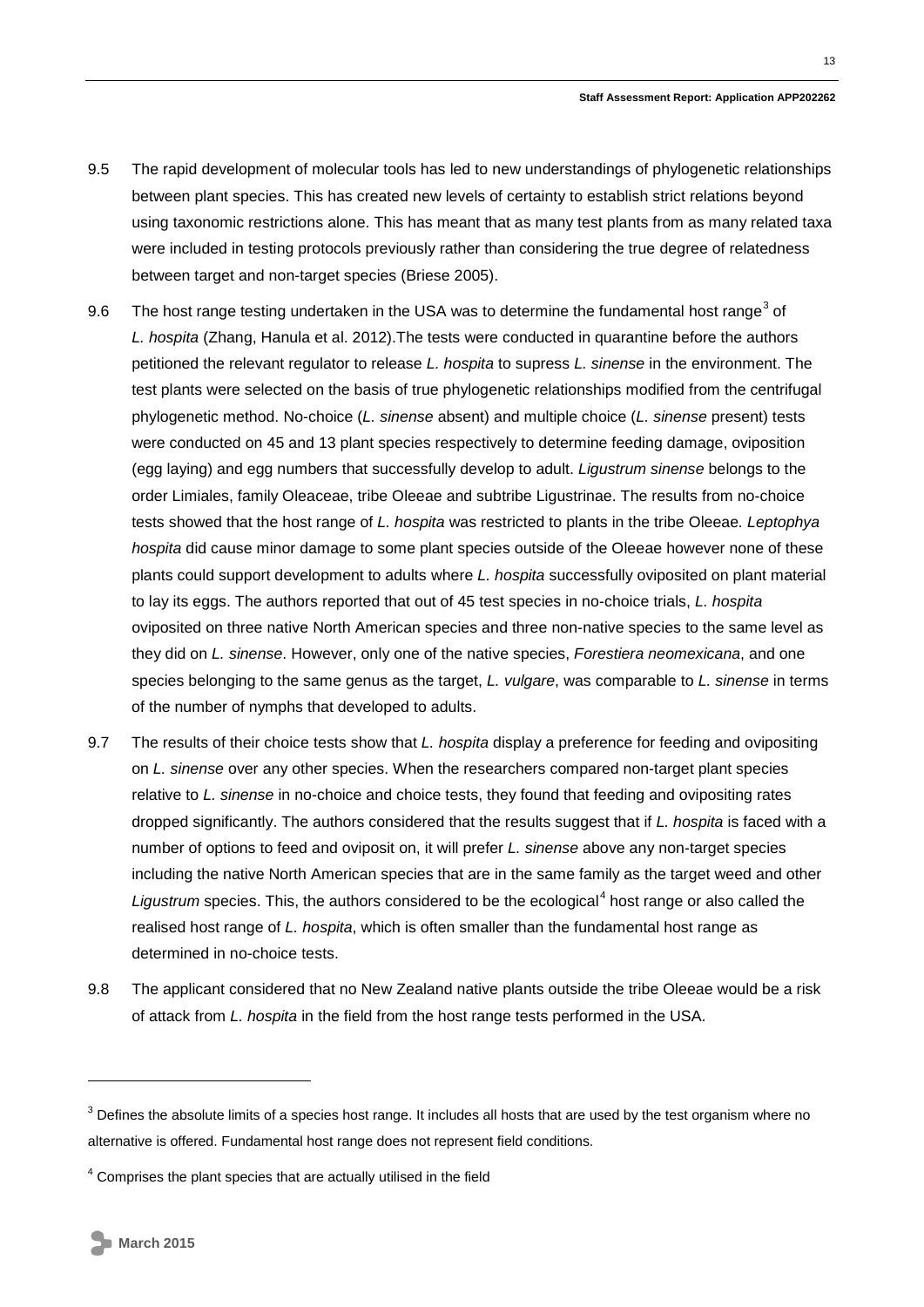- 9.5 The rapid development of molecular tools has led to new understandings of phylogenetic relationships between plant species. This has created new levels of certainty to establish strict relations beyond using taxonomic restrictions alone. This has meant that as many test plants from as many related taxa were included in testing protocols previously rather than considering the true degree of relatedness between target and non-target species (Briese 2005).
- 9.6 The host range testing undertaken in the USA was to determine the fundamental host range<sup>[3](#page-6-1)</sup> of *L. hospita* (Zhang, Hanula et al. 2012).The tests were conducted in quarantine before the authors petitioned the relevant regulator to release *L. hospita* to supress *L. sinense* in the environment. The test plants were selected on the basis of true phylogenetic relationships modified from the centrifugal phylogenetic method. No-choice (*L. sinense* absent) and multiple choice (*L. sinense* present) tests were conducted on 45 and 13 plant species respectively to determine feeding damage, oviposition (egg laying) and egg numbers that successfully develop to adult. *Ligustrum sinense* belongs to the order Limiales, family Oleaceae, tribe Oleeae and subtribe Ligustrinae. The results from no-choice tests showed that the host range of *L. hospita* was restricted to plants in the tribe Oleeae*. Leptophya hospita* did cause minor damage to some plant species outside of the Oleeae however none of these plants could support development to adults where *L. hospita* successfully oviposited on plant material to lay its eggs. The authors reported that out of 45 test species in no-choice trials, *L. hospita* oviposited on three native North American species and three non-native species to the same level as they did on *L. sinense*. However, only one of the native species, *Forestiera neomexicana*, and one species belonging to the same genus as the target, *L. vulgare*, was comparable to *L. sinense* in terms of the number of nymphs that developed to adults.
- 9.7 The results of their choice tests show that *L. hospita* display a preference for feeding and ovipositing on *L. sinense* over any other species. When the researchers compared non-target plant species relative to *L. sinense* in no-choice and choice tests, they found that feeding and ovipositing rates dropped significantly. The authors considered that the results suggest that if *L. hospita* is faced with a number of options to feed and oviposit on, it will prefer *L. sinense* above any non-target species including the native North American species that are in the same family as the target weed and other Ligustrum species. This, the authors considered to be the ecological<sup>[4](#page-12-0)</sup> host range or also called the realised host range of *L. hospita*, which is often smaller than the fundamental host range as determined in no-choice tests.
- 9.8 The applicant considered that no New Zealand native plants outside the tribe Oleeae would be a risk of attack from *L. hospita* in the field from the host range tests performed in the USA.

-

<span id="page-12-1"></span> $3$  Defines the absolute limits of a species host range. It includes all hosts that are used by the test organism where no alternative is offered. Fundamental host range does not represent field conditions.

<span id="page-12-0"></span> $4$  Comprises the plant species that are actually utilised in the field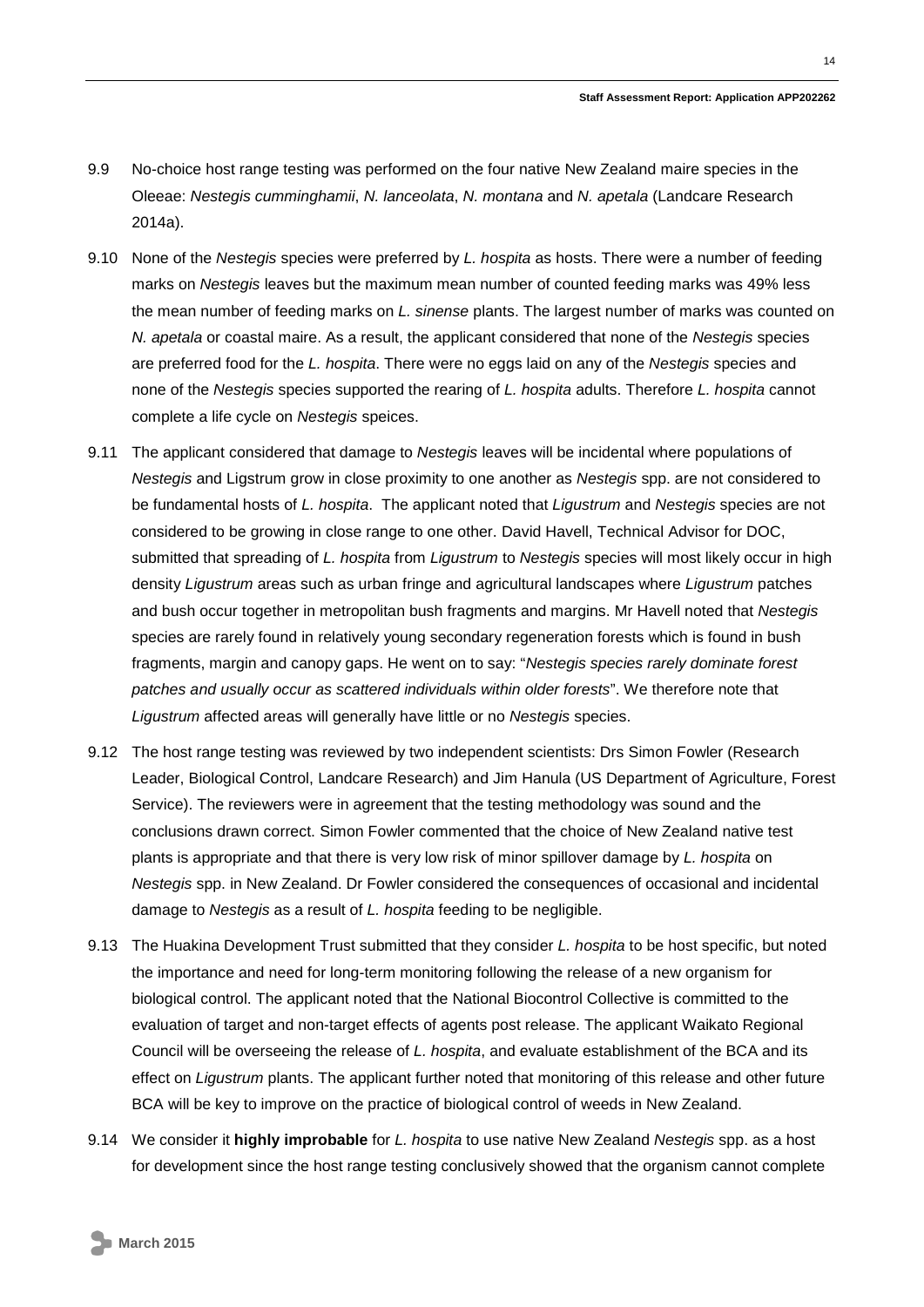- 9.9 No-choice host range testing was performed on the four native New Zealand maire species in the Oleeae: *Nestegis cumminghamii*, *N. lanceolata*, *N. montana* and *N. apetala* (Landcare Research 2014a).
- 9.10 None of the *Nestegis* species were preferred by *L. hospita* as hosts. There were a number of feeding marks on *Nestegis* leaves but the maximum mean number of counted feeding marks was 49% less the mean number of feeding marks on *L. sinense* plants. The largest number of marks was counted on *N. apetala* or coastal maire. As a result, the applicant considered that none of the *Nestegis* species are preferred food for the *L. hospita*. There were no eggs laid on any of the *Nestegis* species and none of the *Nestegis* species supported the rearing of *L. hospita* adults. Therefore *L. hospita* cannot complete a life cycle on *Nestegis* speices.
- 9.11 The applicant considered that damage to *Nestegis* leaves will be incidental where populations of *Nestegis* and Ligstrum grow in close proximity to one another as *Nestegis* spp. are not considered to be fundamental hosts of *L. hospita*. The applicant noted that *Ligustrum* and *Nestegis* species are not considered to be growing in close range to one other. David Havell, Technical Advisor for DOC, submitted that spreading of *L. hospita* from *Ligustrum* to *Nestegis* species will most likely occur in high density *Ligustrum* areas such as urban fringe and agricultural landscapes where *Ligustrum* patches and bush occur together in metropolitan bush fragments and margins. Mr Havell noted that *Nestegis* species are rarely found in relatively young secondary regeneration forests which is found in bush fragments, margin and canopy gaps. He went on to say: "*Nestegis species rarely dominate forest patches and usually occur as scattered individuals within older forests*". We therefore note that *Ligustrum* affected areas will generally have little or no *Nestegis* species.
- 9.12 The host range testing was reviewed by two independent scientists: Drs Simon Fowler (Research Leader, Biological Control, Landcare Research) and Jim Hanula (US Department of Agriculture, Forest Service). The reviewers were in agreement that the testing methodology was sound and the conclusions drawn correct. Simon Fowler commented that the choice of New Zealand native test plants is appropriate and that there is very low risk of minor spillover damage by *L. hospita* on *Nestegis* spp. in New Zealand. Dr Fowler considered the consequences of occasional and incidental damage to *Nestegis* as a result of *L. hospita* feeding to be negligible.
- 9.13 The Huakina Development Trust submitted that they consider *L. hospita* to be host specific, but noted the importance and need for long-term monitoring following the release of a new organism for biological control. The applicant noted that the National Biocontrol Collective is committed to the evaluation of target and non-target effects of agents post release. The applicant Waikato Regional Council will be overseeing the release of *L. hospita*, and evaluate establishment of the BCA and its effect on *Ligustrum* plants. The applicant further noted that monitoring of this release and other future BCA will be key to improve on the practice of biological control of weeds in New Zealand.
- 9.14 We consider it **highly improbable** for *L. hospita* to use native New Zealand *Nestegis* spp. as a host for development since the host range testing conclusively showed that the organism cannot complete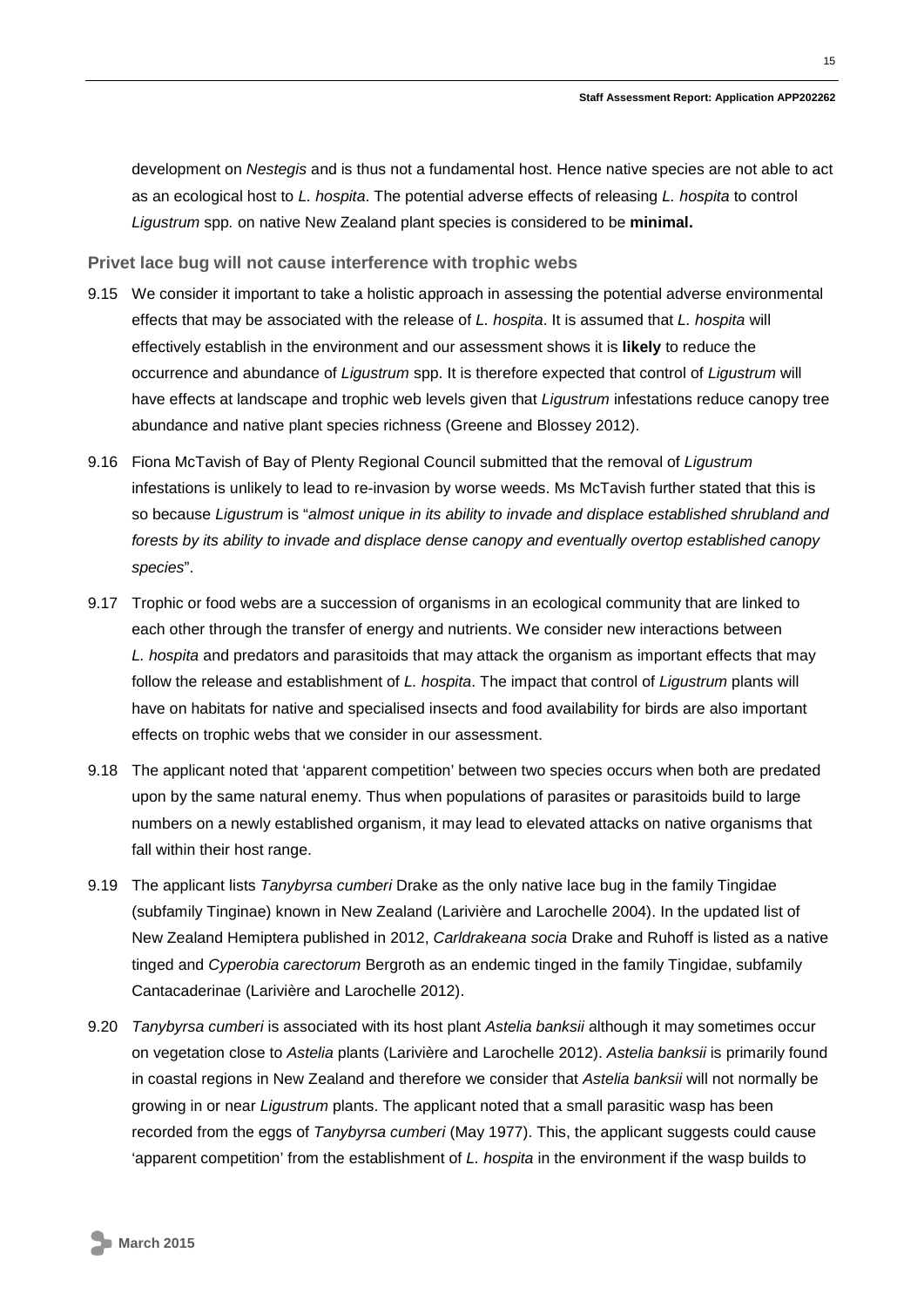development on *Nestegis* and is thus not a fundamental host. Hence native species are not able to act as an ecological host to *L. hospita*. The potential adverse effects of releasing *L. hospita* to control *Ligustrum* spp*.* on native New Zealand plant species is considered to be **minimal.**

**Privet lace bug will not cause interference with trophic webs**

- 9.15 We consider it important to take a holistic approach in assessing the potential adverse environmental effects that may be associated with the release of *L. hospita*. It is assumed that *L. hospita* will effectively establish in the environment and our assessment shows it is **likely** to reduce the occurrence and abundance of *Ligustrum* spp. It is therefore expected that control of *Ligustrum* will have effects at landscape and trophic web levels given that *Ligustrum* infestations reduce canopy tree abundance and native plant species richness (Greene and Blossey 2012).
- 9.16 Fiona McTavish of Bay of Plenty Regional Council submitted that the removal of *Ligustrum*  infestations is unlikely to lead to re-invasion by worse weeds. Ms McTavish further stated that this is so because *Ligustrum* is "*almost unique in its ability to invade and displace established shrubland and forests by its ability to invade and displace dense canopy and eventually overtop established canopy species*".
- 9.17 Trophic or food webs are a succession of organisms in an ecological community that are linked to each other through the transfer of energy and nutrients. We consider new interactions between *L. hospita* and predators and parasitoids that may attack the organism as important effects that may follow the release and establishment of *L. hospita*. The impact that control of *Ligustrum* plants will have on habitats for native and specialised insects and food availability for birds are also important effects on trophic webs that we consider in our assessment.
- 9.18 The applicant noted that 'apparent competition' between two species occurs when both are predated upon by the same natural enemy. Thus when populations of parasites or parasitoids build to large numbers on a newly established organism, it may lead to elevated attacks on native organisms that fall within their host range.
- 9.19 The applicant lists *Tanybyrsa cumberi* Drake as the only native lace bug in the family Tingidae (subfamily Tinginae) known in New Zealand (Larivière and Larochelle 2004). In the updated list of New Zealand Hemiptera published in 2012, *Carldrakeana socia* Drake and Ruhoff is listed as a native tinged and *Cyperobia carectorum* Bergroth as an endemic tinged in the family Tingidae, subfamily Cantacaderinae (Larivière and Larochelle 2012).
- 9.20 *Tanybyrsa cumberi* is associated with its host plant *Astelia banksii* although it may sometimes occur on vegetation close to *Astelia* plants (Larivière and Larochelle 2012). *Astelia banksii* is primarily found in coastal regions in New Zealand and therefore we consider that *Astelia banksii* will not normally be growing in or near *Ligustrum* plants. The applicant noted that a small parasitic wasp has been recorded from the eggs of *Tanybyrsa cumberi* (May 1977). This, the applicant suggests could cause 'apparent competition' from the establishment of *L. hospita* in the environment if the wasp builds to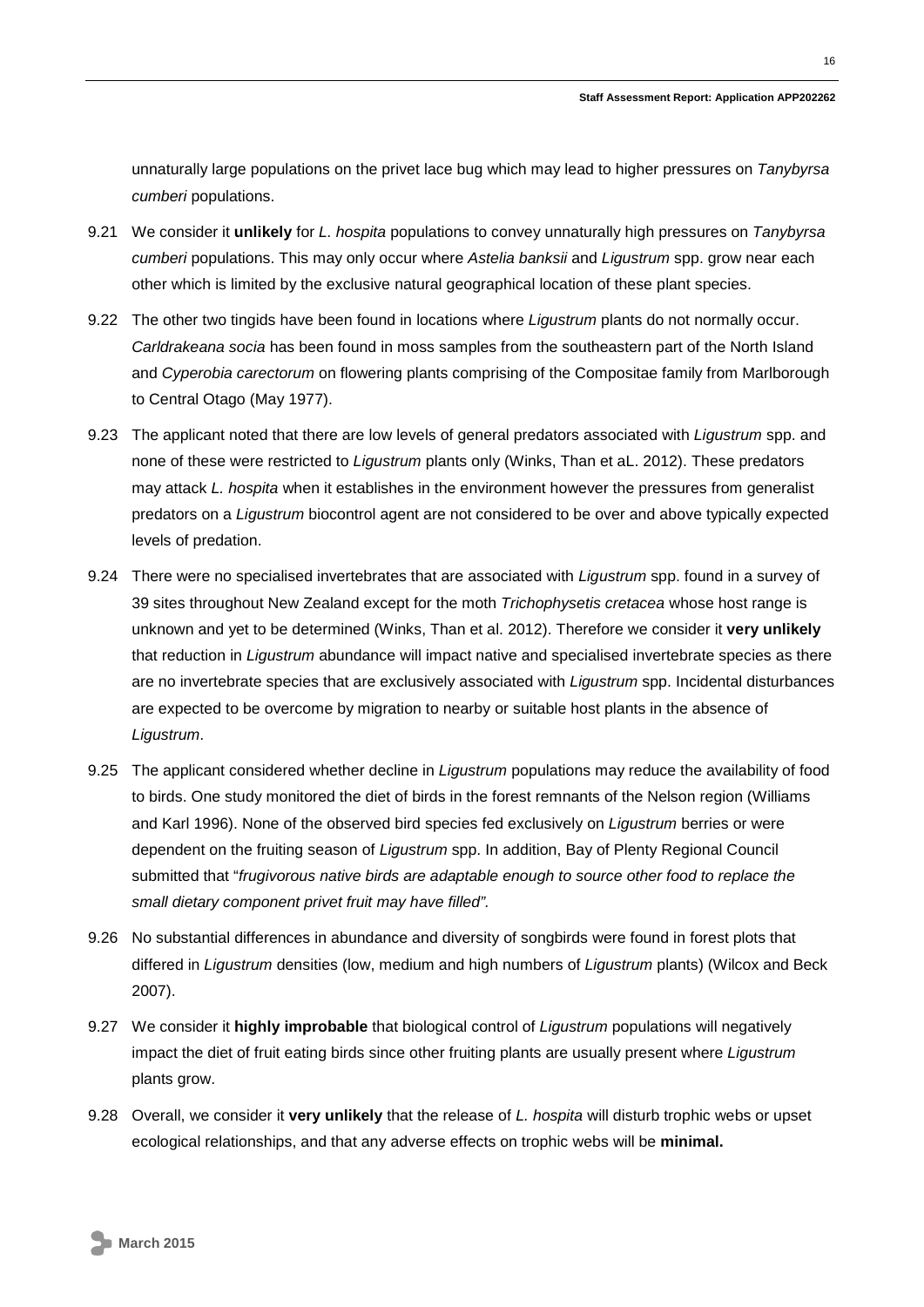unnaturally large populations on the privet lace bug which may lead to higher pressures on *Tanybyrsa cumberi* populations.

- 9.21 We consider it **unlikely** for *L. hospita* populations to convey unnaturally high pressures on *Tanybyrsa cumberi* populations. This may only occur where *Astelia banksii* and *Ligustrum* spp. grow near each other which is limited by the exclusive natural geographical location of these plant species.
- 9.22 The other two tingids have been found in locations where *Ligustrum* plants do not normally occur. *Carldrakeana socia* has been found in moss samples from the southeastern part of the North Island and *Cyperobia carectorum* on flowering plants comprising of the Compositae family from Marlborough to Central Otago (May 1977).
- 9.23 The applicant noted that there are low levels of general predators associated with *Ligustrum* spp. and none of these were restricted to *Ligustrum* plants only (Winks, Than et aL. 2012). These predators may attack *L. hospita* when it establishes in the environment however the pressures from generalist predators on a *Ligustrum* biocontrol agent are not considered to be over and above typically expected levels of predation.
- 9.24 There were no specialised invertebrates that are associated with *Ligustrum* spp. found in a survey of 39 sites throughout New Zealand except for the moth *Trichophysetis cretacea* whose host range is unknown and yet to be determined (Winks, Than et al. 2012). Therefore we consider it **very unlikely** that reduction in *Ligustrum* abundance will impact native and specialised invertebrate species as there are no invertebrate species that are exclusively associated with *Ligustrum* spp. Incidental disturbances are expected to be overcome by migration to nearby or suitable host plants in the absence of *Ligustrum*.
- 9.25 The applicant considered whether decline in *Ligustrum* populations may reduce the availability of food to birds. One study monitored the diet of birds in the forest remnants of the Nelson region (Williams and Karl 1996). None of the observed bird species fed exclusively on *Ligustrum* berries or were dependent on the fruiting season of *Ligustrum* spp. In addition, Bay of Plenty Regional Council submitted that "*frugivorous native birds are adaptable enough to source other food to replace the small dietary component privet fruit may have filled".*
- 9.26 No substantial differences in abundance and diversity of songbirds were found in forest plots that differed in *Ligustrum* densities (low, medium and high numbers of *Ligustrum* plants) (Wilcox and Beck 2007).
- 9.27 We consider it **highly improbable** that biological control of *Ligustrum* populations will negatively impact the diet of fruit eating birds since other fruiting plants are usually present where *Ligustrum*  plants grow.
- 9.28 Overall, we consider it **very unlikely** that the release of *L. hospita* will disturb trophic webs or upset ecological relationships, and that any adverse effects on trophic webs will be **minimal.**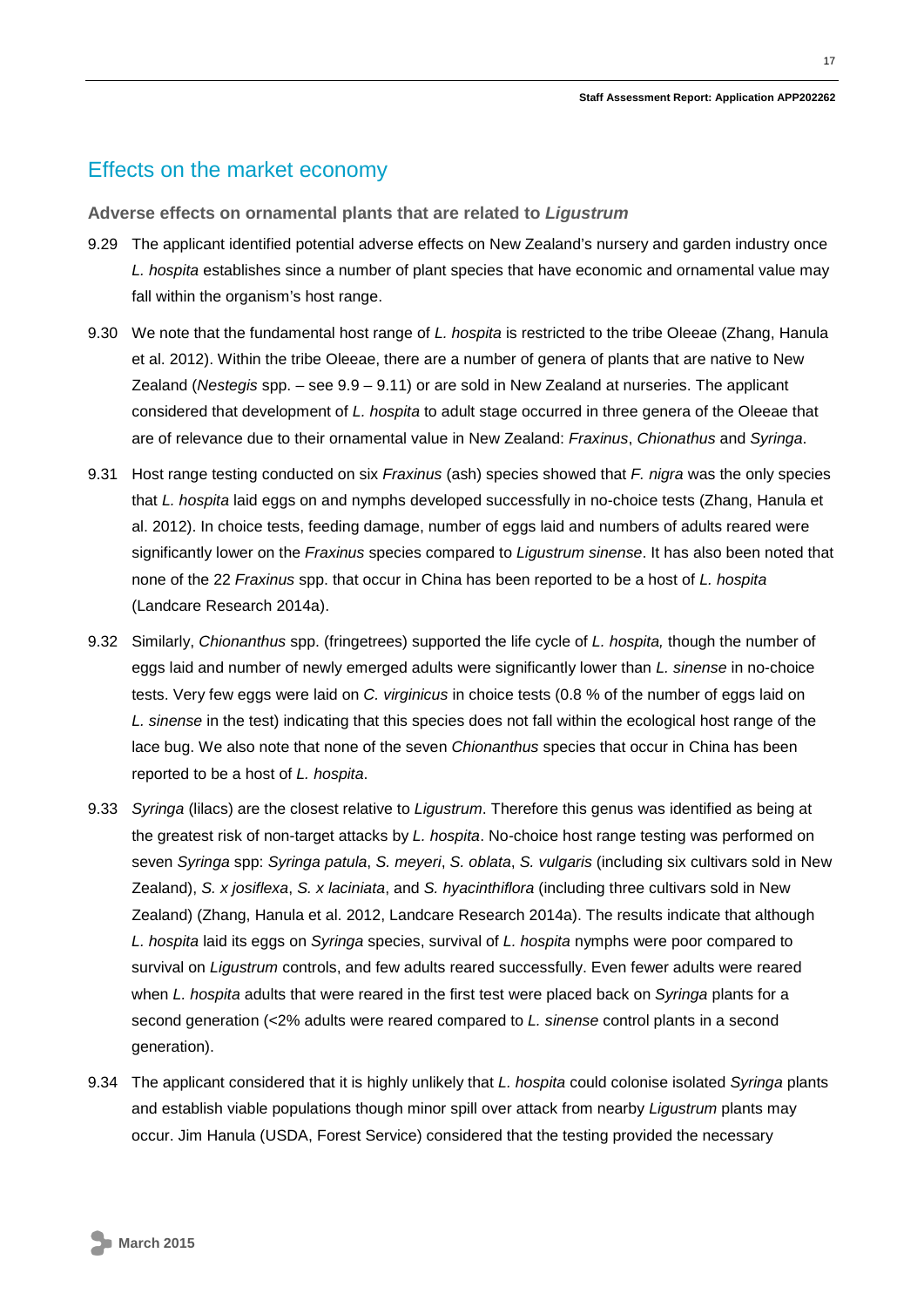### Effects on the market economy

**Adverse effects on ornamental plants that are related to** *Ligustrum*

- 9.29 The applicant identified potential adverse effects on New Zealand's nursery and garden industry once *L. hospita* establishes since a number of plant species that have economic and ornamental value may fall within the organism's host range.
- 9.30 We note that the fundamental host range of *L. hospita* is restricted to the tribe Oleeae (Zhang, Hanula et al. 2012). Within the tribe Oleeae, there are a number of genera of plants that are native to New Zealand (*Nestegis* spp. – see 9.9 – 9.11) or are sold in New Zealand at nurseries. The applicant considered that development of *L. hospita* to adult stage occurred in three genera of the Oleeae that are of relevance due to their ornamental value in New Zealand: *Fraxinus*, *Chionathus* and *Syringa*.
- 9.31 Host range testing conducted on six *Fraxinus* (ash) species showed that *F. nigra* was the only species that *L. hospita* laid eggs on and nymphs developed successfully in no-choice tests (Zhang, Hanula et al. 2012). In choice tests, feeding damage, number of eggs laid and numbers of adults reared were significantly lower on the *Fraxinus* species compared to *Ligustrum sinense*. It has also been noted that none of the 22 *Fraxinus* spp. that occur in China has been reported to be a host of *L. hospita* (Landcare Research 2014a).
- 9.32 Similarly, *Chionanthus* spp. (fringetrees) supported the life cycle of *L. hospita,* though the number of eggs laid and number of newly emerged adults were significantly lower than *L. sinense* in no-choice tests. Very few eggs were laid on *C. virginicus* in choice tests (0.8 % of the number of eggs laid on *L. sinense* in the test) indicating that this species does not fall within the ecological host range of the lace bug. We also note that none of the seven *Chionanthus* species that occur in China has been reported to be a host of *L. hospita*.
- 9.33 *Syringa* (lilacs) are the closest relative to *Ligustrum*. Therefore this genus was identified as being at the greatest risk of non-target attacks by *L. hospita*. No-choice host range testing was performed on seven *Syringa* spp: *Syringa patula*, *S. meyeri*, *S. oblata*, *S. vulgaris* (including six cultivars sold in New Zealand), *S. x josiflexa*, *S. x laciniata*, and *S. hyacinthiflora* (including three cultivars sold in New Zealand) (Zhang, Hanula et al. 2012, Landcare Research 2014a). The results indicate that although *L. hospita* laid its eggs on *Syringa* species, survival of *L. hospita* nymphs were poor compared to survival on *Ligustrum* controls, and few adults reared successfully. Even fewer adults were reared when *L. hospita* adults that were reared in the first test were placed back on *Syringa* plants for a second generation (<2% adults were reared compared to *L. sinense* control plants in a second generation).
- 9.34 The applicant considered that it is highly unlikely that *L. hospita* could colonise isolated *Syringa* plants and establish viable populations though minor spill over attack from nearby *Ligustrum* plants may occur. Jim Hanula (USDA, Forest Service) considered that the testing provided the necessary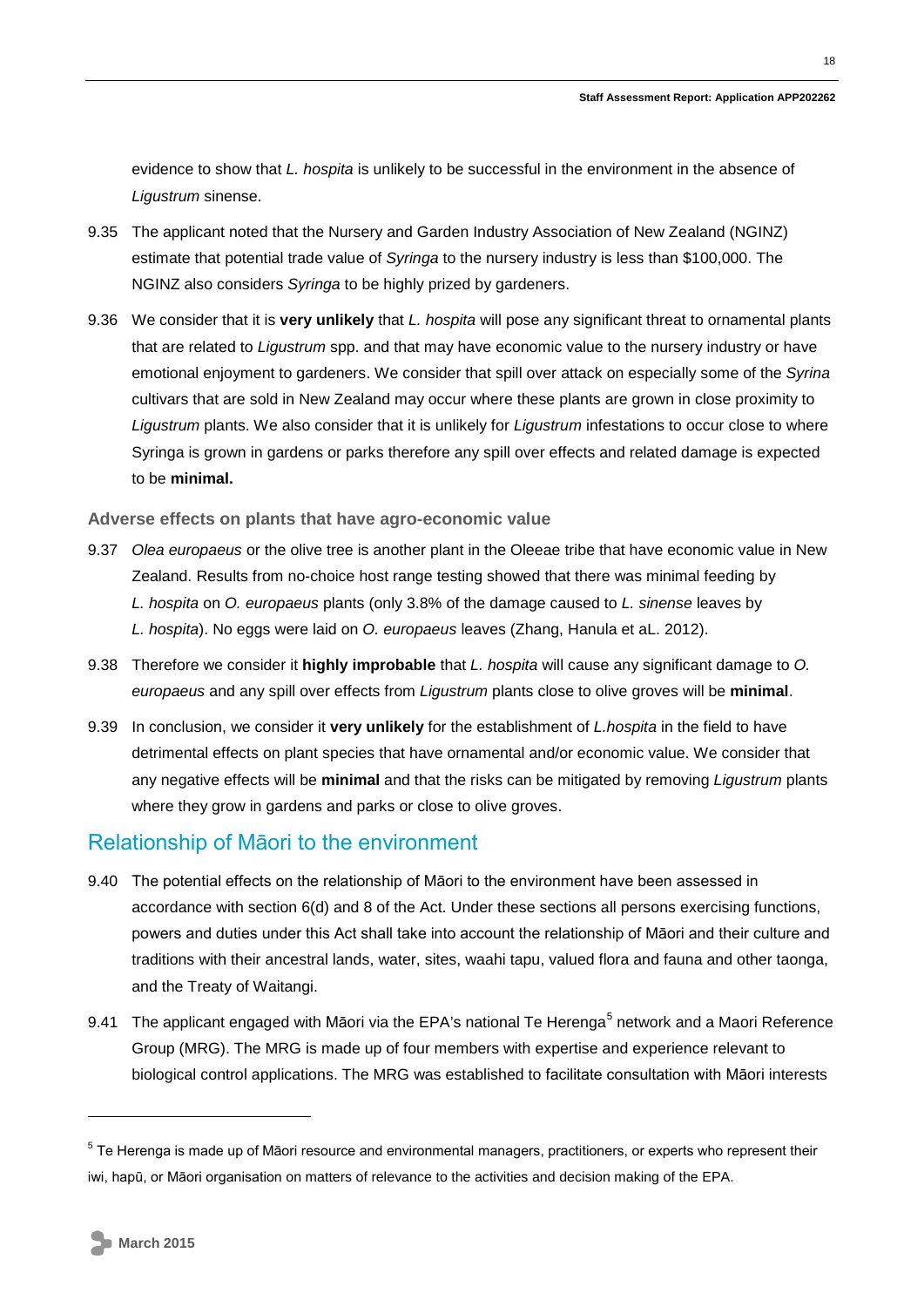evidence to show that *L. hospita* is unlikely to be successful in the environment in the absence of *Ligustrum* sinense.

- 9.35 The applicant noted that the Nursery and Garden Industry Association of New Zealand (NGINZ) estimate that potential trade value of *Syringa* to the nursery industry is less than \$100,000. The NGINZ also considers *Syringa* to be highly prized by gardeners.
- 9.36 We consider that it is **very unlikely** that *L. hospita* will pose any significant threat to ornamental plants that are related to *Ligustrum* spp. and that may have economic value to the nursery industry or have emotional enjoyment to gardeners. We consider that spill over attack on especially some of the *Syrina* cultivars that are sold in New Zealand may occur where these plants are grown in close proximity to *Ligustrum* plants. We also consider that it is unlikely for *Ligustrum* infestations to occur close to where Syringa is grown in gardens or parks therefore any spill over effects and related damage is expected to be **minimal.**

**Adverse effects on plants that have agro-economic value**

- 9.37 *Olea europaeus* or the olive tree is another plant in the Oleeae tribe that have economic value in New Zealand. Results from no-choice host range testing showed that there was minimal feeding by *L. hospita* on *O. europaeus* plants (only 3.8% of the damage caused to *L. sinense* leaves by *L. hospita*). No eggs were laid on *O. europaeus* leaves (Zhang, Hanula et aL. 2012).
- 9.38 Therefore we consider it **highly improbable** that *L. hospita* will cause any significant damage to *O. europaeus* and any spill over effects from *Ligustrum* plants close to olive groves will be **minimal**.
- 9.39 In conclusion, we consider it **very unlikely** for the establishment of *L.hospita* in the field to have detrimental effects on plant species that have ornamental and/or economic value. We consider that any negative effects will be **minimal** and that the risks can be mitigated by removing *Ligustrum* plants where they grow in gardens and parks or close to olive groves.

#### Relationship of Māori to the environment

- 9.40 The potential effects on the relationship of Māori to the environment have been assessed in accordance with section 6(d) and 8 of the Act. Under these sections all persons exercising functions, powers and duties under this Act shall take into account the relationship of Māori and their culture and traditions with their ancestral lands, water, sites, waahi tapu, valued flora and fauna and other taonga, and the Treaty of Waitangi.
- <span id="page-17-0"></span>9.41 The applicant engaged with Māori via the EPA's national Te Herenga<sup>[5](#page-12-1)</sup> network and a Maori Reference Group (MRG). The MRG is made up of four members with expertise and experience relevant to biological control applications. The MRG was established to facilitate consultation with Māori interests

-

<sup>&</sup>lt;sup>5</sup> Te Herenga is made up of Māori resource and environmental managers, practitioners, or experts who represent their iwi, hapū, or Māori organisation on matters of relevance to the activities and decision making of the EPA.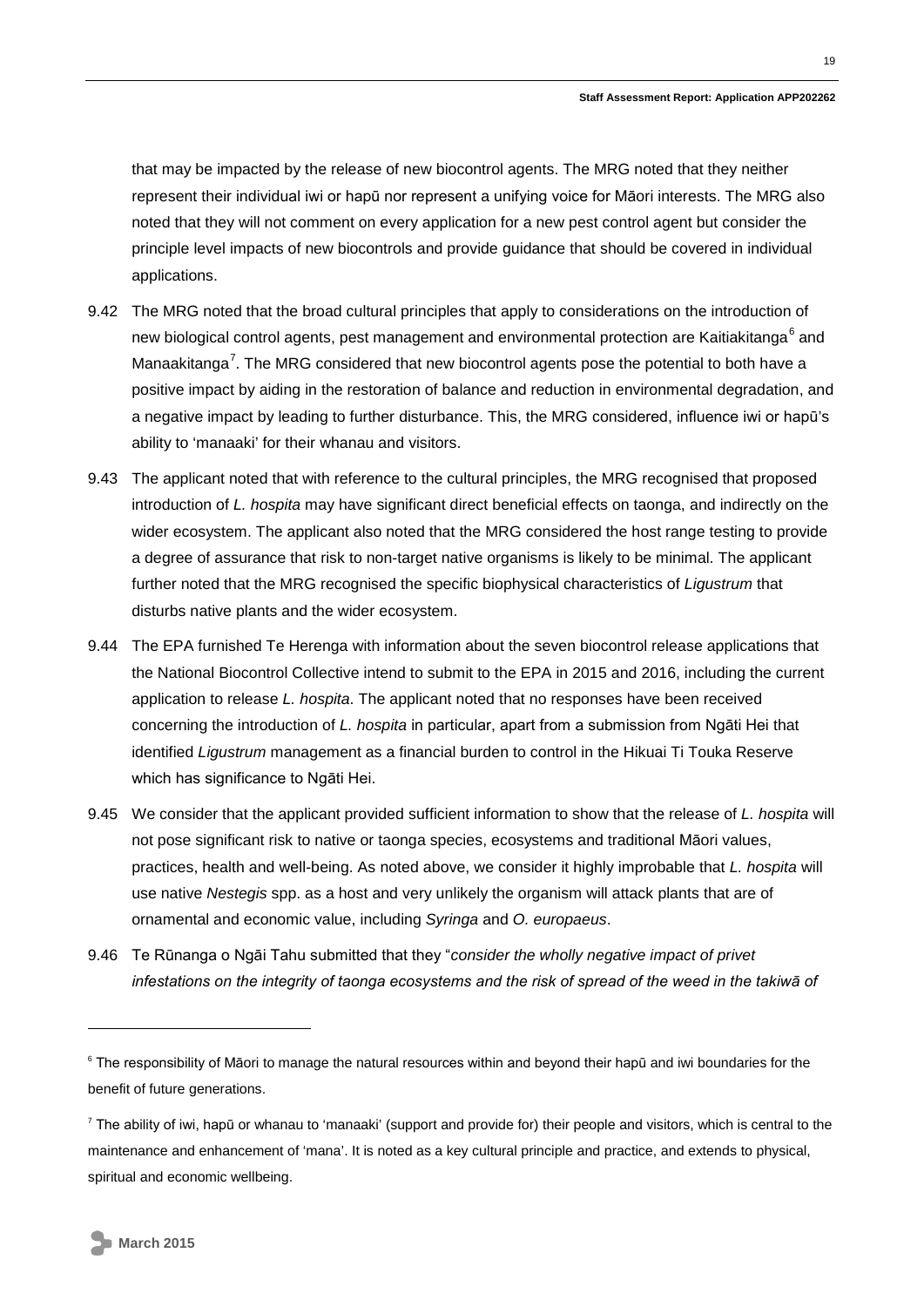that may be impacted by the release of new biocontrol agents. The MRG noted that they neither represent their individual iwi or hapū nor represent a unifying voice for Māori interests. The MRG also noted that they will not comment on every application for a new pest control agent but consider the principle level impacts of new biocontrols and provide guidance that should be covered in individual applications.

- 9.42 The MRG noted that the broad cultural principles that apply to considerations on the introduction of new biological control agents, pest management and environmental protection are Kaitiakitanga<sup>[6](#page-17-0)</sup> and Manaakitanga<sup>[7](#page-18-0)</sup>. The MRG considered that new biocontrol agents pose the potential to both have a positive impact by aiding in the restoration of balance and reduction in environmental degradation, and a negative impact by leading to further disturbance. This, the MRG considered, influence iwi or hapū's ability to 'manaaki' for their whanau and visitors.
- 9.43 The applicant noted that with reference to the cultural principles, the MRG recognised that proposed introduction of *L. hospita* may have significant direct beneficial effects on taonga, and indirectly on the wider ecosystem. The applicant also noted that the MRG considered the host range testing to provide a degree of assurance that risk to non-target native organisms is likely to be minimal. The applicant further noted that the MRG recognised the specific biophysical characteristics of *Ligustrum* that disturbs native plants and the wider ecosystem.
- 9.44 The EPA furnished Te Herenga with information about the seven biocontrol release applications that the National Biocontrol Collective intend to submit to the EPA in 2015 and 2016, including the current application to release *L. hospita*. The applicant noted that no responses have been received concerning the introduction of *L. hospita* in particular, apart from a submission from Ngāti Hei that identified *Ligustrum* management as a financial burden to control in the Hikuai Ti Touka Reserve which has significance to Ngāti Hei.
- 9.45 We consider that the applicant provided sufficient information to show that the release of *L. hospita* will not pose significant risk to native or taonga species, ecosystems and traditional Māori values, practices, health and well-being. As noted above, we consider it highly improbable that *L. hospita* will use native *Nestegis* spp. as a host and very unlikely the organism will attack plants that are of ornamental and economic value, including *Syringa* and *O. europaeus*.
- 9.46 Te Rūnanga o Ngāi Tahu submitted that they "*consider the wholly negative impact of privet infestations on the integrity of taonga ecosystems and the risk of spread of the weed in the takiwā of*

-

<sup>&</sup>lt;sup>6</sup> The responsibility of Māori to manage the natural resources within and beyond their hapū and iwi boundaries for the benefit of future generations.

<span id="page-18-0"></span> $<sup>7</sup>$  The ability of iwi, hapū or whanau to 'manaaki' (support and provide for) their people and visitors, which is central to the</sup> maintenance and enhancement of 'mana'. It is noted as a key cultural principle and practice, and extends to physical, spiritual and economic wellbeing.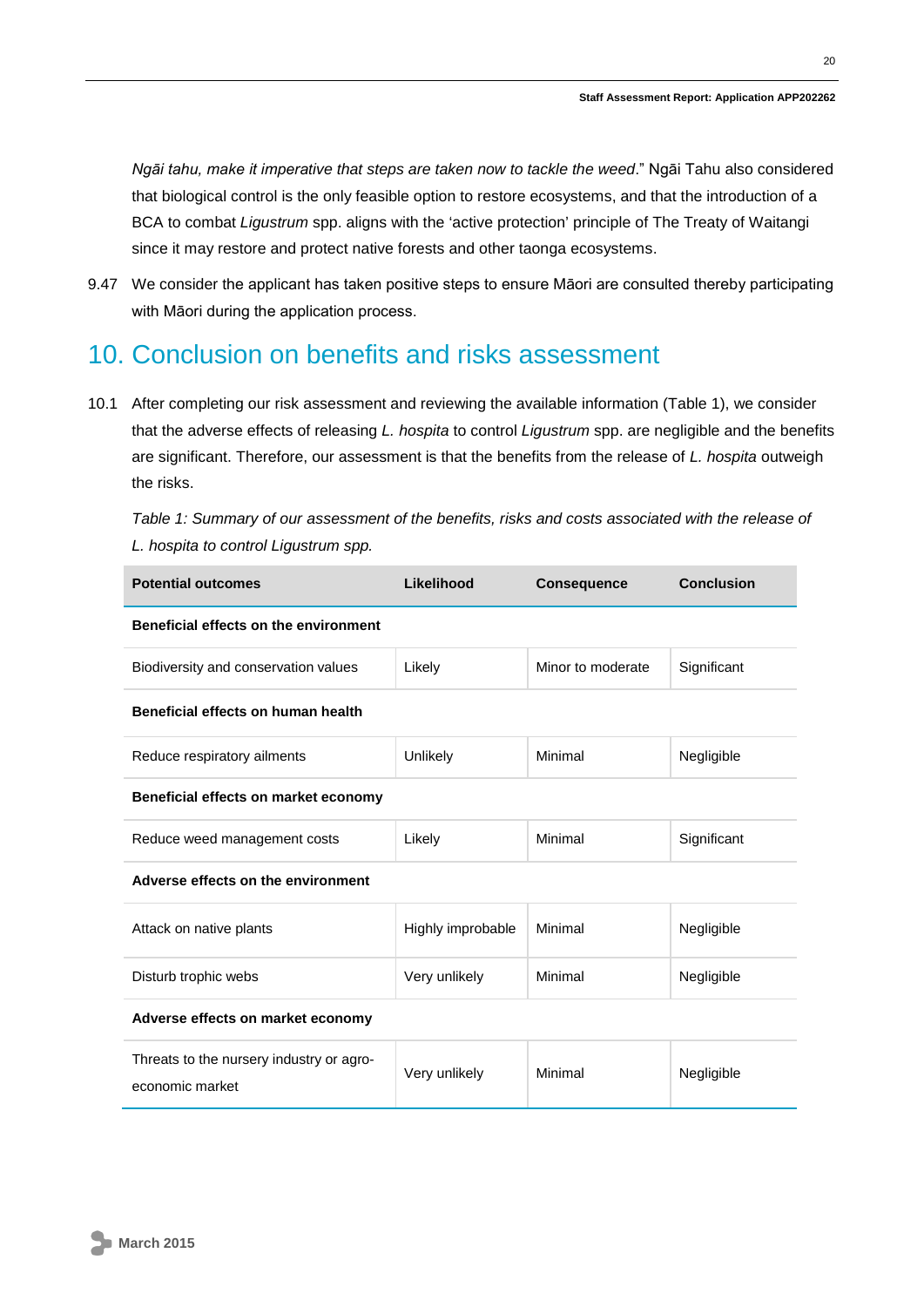*Ngāi tahu, make it imperative that steps are taken now to tackle the weed*." Ngāi Tahu also considered that biological control is the only feasible option to restore ecosystems, and that the introduction of a BCA to combat *Ligustrum* spp. aligns with the 'active protection' principle of The Treaty of Waitangi since it may restore and protect native forests and other taonga ecosystems.

9.47 We consider the applicant has taken positive steps to ensure Māori are consulted thereby participating with Māori during the application process.

### <span id="page-19-0"></span>10. Conclusion on benefits and risks assessment

10.1 After completing our risk assessment and reviewing the available information (Table 1), we consider that the adverse effects of releasing *L. hospita* to control *Ligustrum* spp. are negligible and the benefits are significant. Therefore, our assessment is that the benefits from the release of *L. hospita* outweigh the risks.

| Table 1: Summary of our assessment of the benefits, risks and costs associated with the release of |  |
|----------------------------------------------------------------------------------------------------|--|
| L. hospita to control Ligustrum spp.                                                               |  |

| <b>Potential outcomes</b>                                   | Likelihood        | <b>Consequence</b> | <b>Conclusion</b> |
|-------------------------------------------------------------|-------------------|--------------------|-------------------|
| Beneficial effects on the environment                       |                   |                    |                   |
| Biodiversity and conservation values                        | Likely            | Minor to moderate  | Significant       |
| Beneficial effects on human health                          |                   |                    |                   |
| Reduce respiratory ailments                                 | Unlikely          | Minimal            | Negligible        |
| Beneficial effects on market economy                        |                   |                    |                   |
| Reduce weed management costs                                | Likely            | Minimal            | Significant       |
| Adverse effects on the environment                          |                   |                    |                   |
| Attack on native plants                                     | Highly improbable | Minimal            | Negligible        |
| Disturb trophic webs                                        | Very unlikely     | Minimal            | Negligible        |
| Adverse effects on market economy                           |                   |                    |                   |
| Threats to the nursery industry or agro-<br>economic market | Very unlikely     | Minimal            | Negligible        |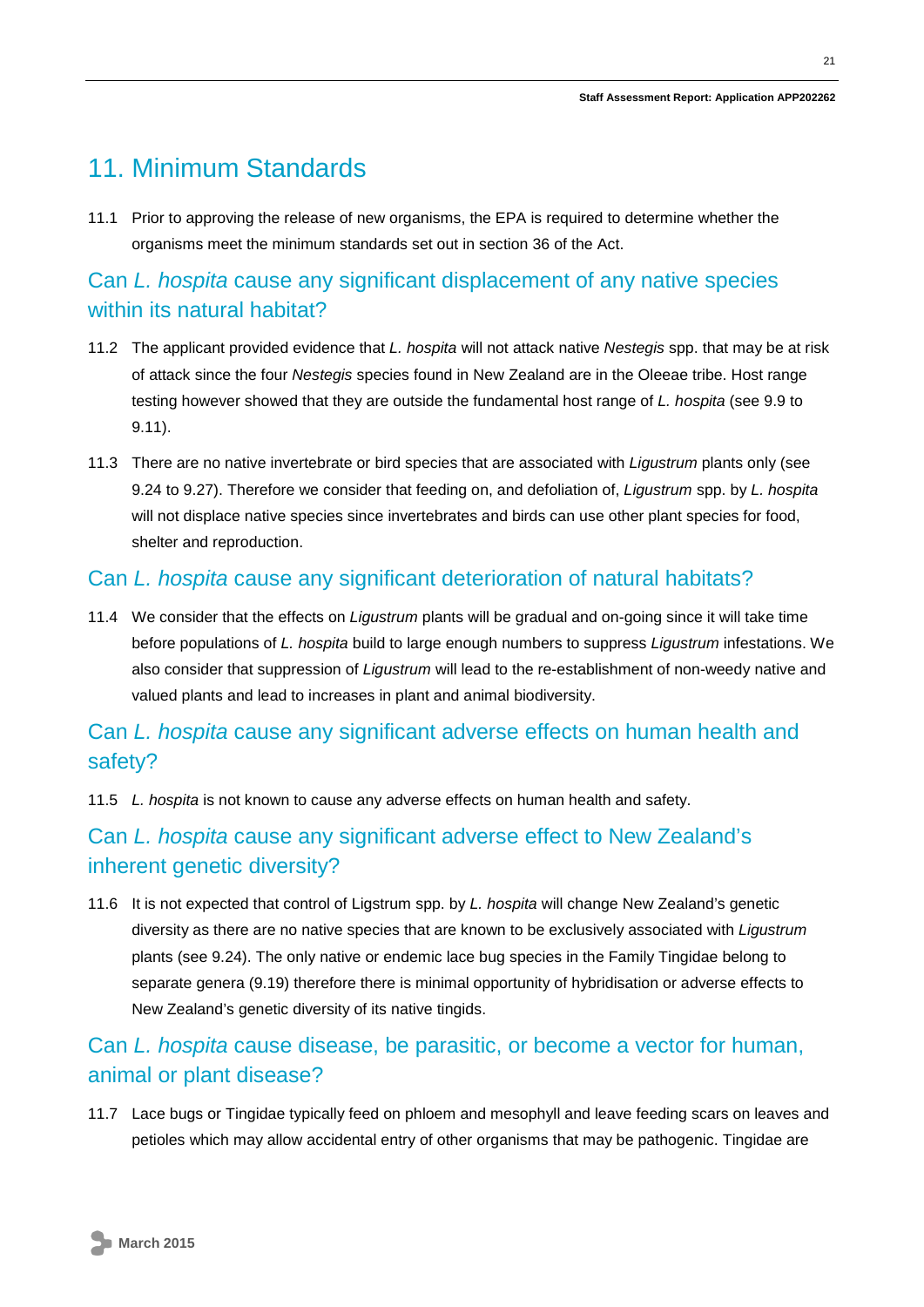## <span id="page-20-0"></span>11. Minimum Standards

11.1 Prior to approving the release of new organisms, the EPA is required to determine whether the organisms meet the minimum standards set out in section 36 of the Act.

### Can *L. hospita* cause any significant displacement of any native species within its natural habitat?

- 11.2 The applicant provided evidence that *L. hospita* will not attack native *Nestegis* spp. that may be at risk of attack since the four *Nestegis* species found in New Zealand are in the Oleeae tribe. Host range testing however showed that they are outside the fundamental host range of *L. hospita* (see 9.9 to 9.11).
- 11.3 There are no native invertebrate or bird species that are associated with *Ligustrum* plants only (see 9.24 to 9.27). Therefore we consider that feeding on, and defoliation of, *Ligustrum* spp. by *L. hospita* will not displace native species since invertebrates and birds can use other plant species for food, shelter and reproduction.

#### Can *L. hospita* cause any significant deterioration of natural habitats?

11.4 We consider that the effects on *Ligustrum* plants will be gradual and on-going since it will take time before populations of *L. hospita* build to large enough numbers to suppress *Ligustrum* infestations. We also consider that suppression of *Ligustrum* will lead to the re-establishment of non-weedy native and valued plants and lead to increases in plant and animal biodiversity.

### Can *L. hospita* cause any significant adverse effects on human health and safety?

11.5 *L. hospita* is not known to cause any adverse effects on human health and safety.

### Can *L. hospita* cause any significant adverse effect to New Zealand's inherent genetic diversity?

11.6 It is not expected that control of Ligstrum spp. by *L. hospita* will change New Zealand's genetic diversity as there are no native species that are known to be exclusively associated with *Ligustrum*  plants (see 9.24). The only native or endemic lace bug species in the Family Tingidae belong to separate genera (9.19) therefore there is minimal opportunity of hybridisation or adverse effects to New Zealand's genetic diversity of its native tingids.

### Can *L. hospita* cause disease, be parasitic, or become a vector for human, animal or plant disease?

11.7 Lace bugs or Tingidae typically feed on phloem and mesophyll and leave feeding scars on leaves and petioles which may allow accidental entry of other organisms that may be pathogenic. Tingidae are

21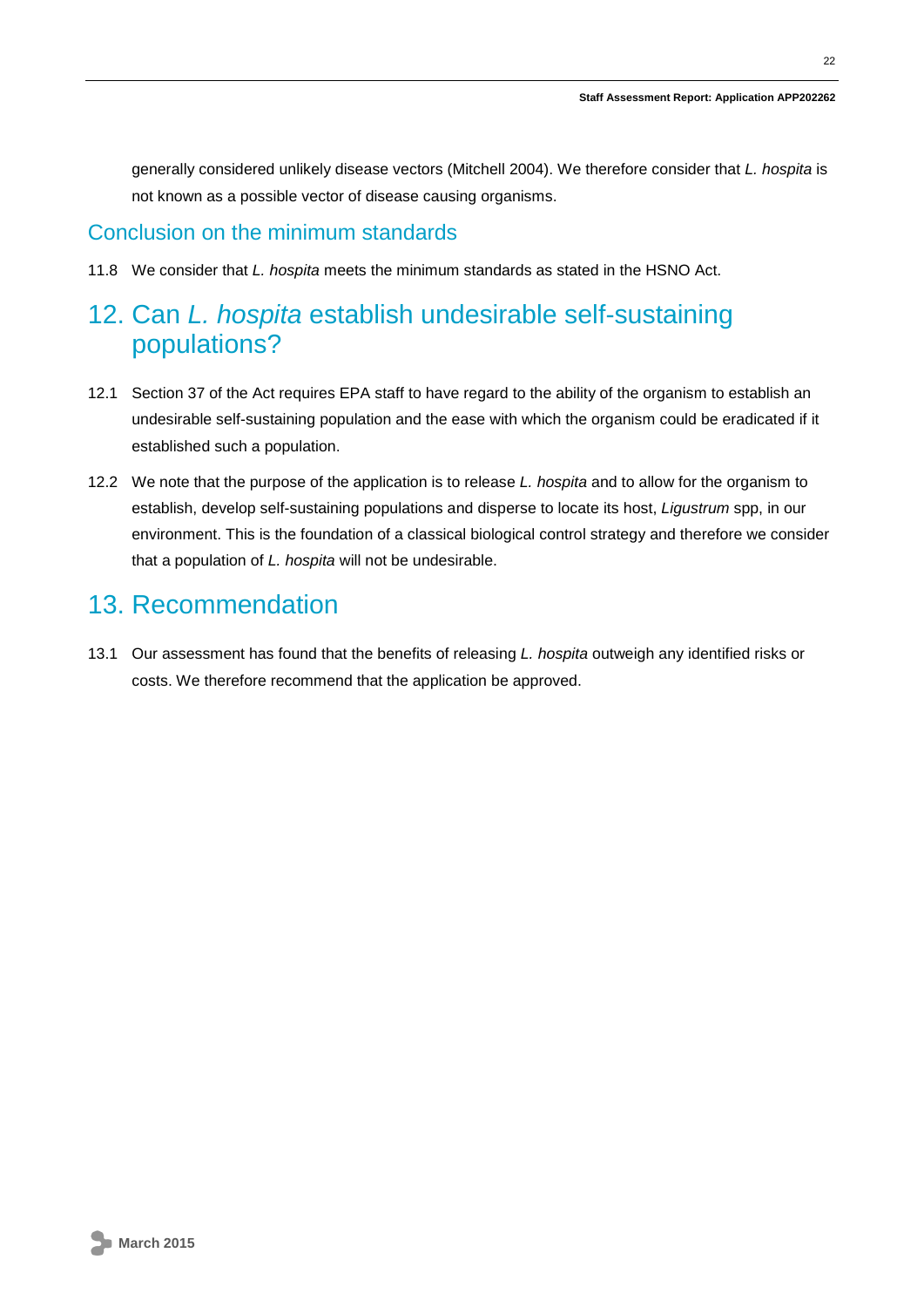generally considered unlikely disease vectors (Mitchell 2004). We therefore consider that *L. hospita* is not known as a possible vector of disease causing organisms.

#### Conclusion on the minimum standards

11.8 We consider that *L. hospita* meets the minimum standards as stated in the HSNO Act.

## <span id="page-21-0"></span>12. Can *L. hospita* establish undesirable self-sustaining populations?

- 12.1 Section 37 of the Act requires EPA staff to have regard to the ability of the organism to establish an undesirable self-sustaining population and the ease with which the organism could be eradicated if it established such a population.
- 12.2 We note that the purpose of the application is to release *L. hospita* and to allow for the organism to establish, develop self-sustaining populations and disperse to locate its host, *Ligustrum* spp, in our environment. This is the foundation of a classical biological control strategy and therefore we consider that a population of *L. hospita* will not be undesirable.

### <span id="page-21-1"></span>13. Recommendation

<span id="page-21-2"></span>13.1 Our assessment has found that the benefits of releasing *L. hospita* outweigh any identified risks or costs. We therefore recommend that the application be approved.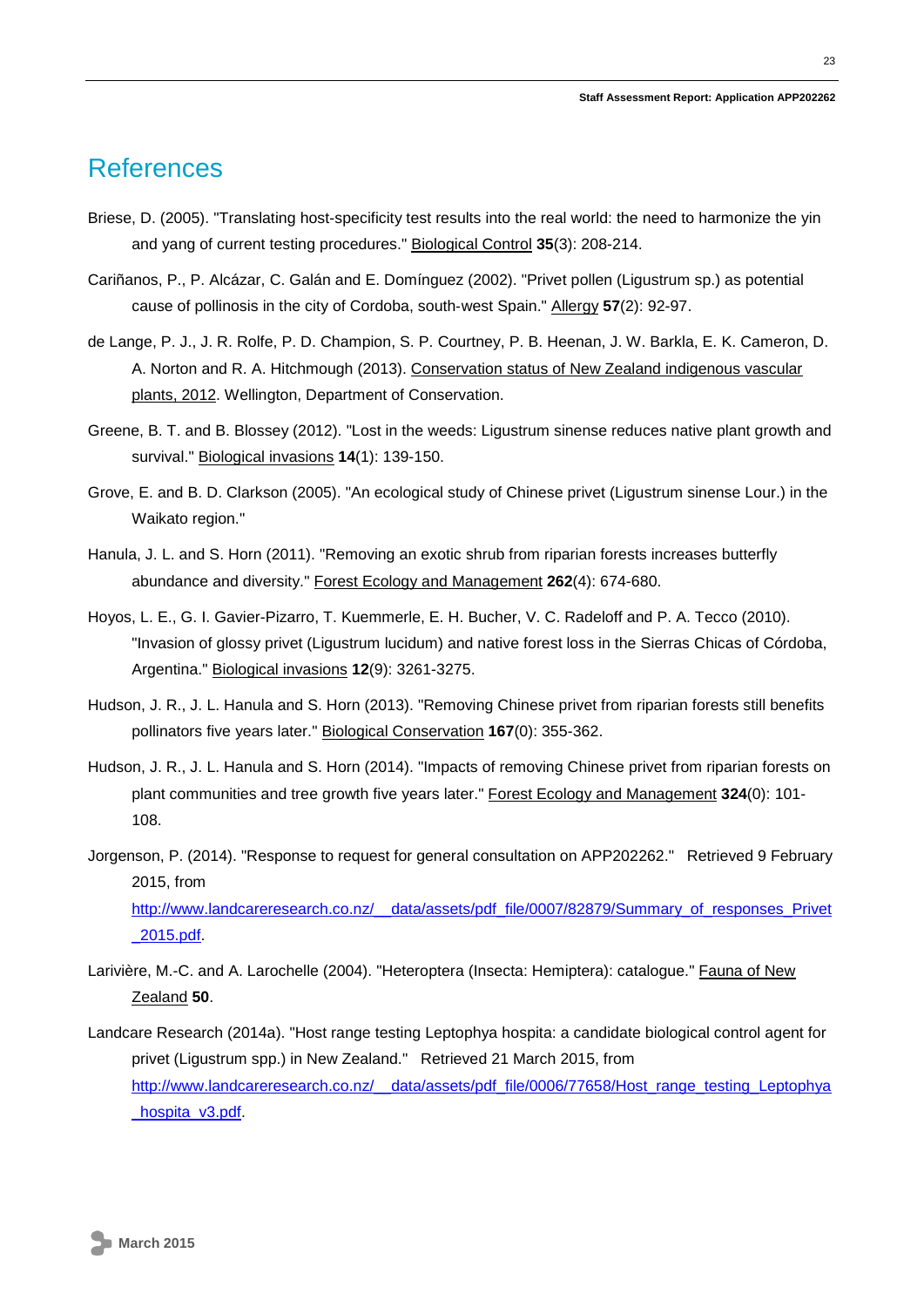### References

- Briese, D. (2005). "Translating host-specificity test results into the real world: the need to harmonize the yin and yang of current testing procedures." Biological Control **35**(3): 208-214.
- Cariñanos, P., P. Alcázar, C. Galán and E. Domínguez (2002). "Privet pollen (Ligustrum sp.) as potential cause of pollinosis in the city of Cordoba, south‐west Spain." Allergy **57**(2): 92-97.
- de Lange, P. J., J. R. Rolfe, P. D. Champion, S. P. Courtney, P. B. Heenan, J. W. Barkla, E. K. Cameron, D. A. Norton and R. A. Hitchmough (2013). Conservation status of New Zealand indigenous vascular plants, 2012. Wellington, Department of Conservation.
- Greene, B. T. and B. Blossey (2012). "Lost in the weeds: Ligustrum sinense reduces native plant growth and survival." Biological invasions **14**(1): 139-150.
- Grove, E. and B. D. Clarkson (2005). "An ecological study of Chinese privet (Ligustrum sinense Lour.) in the Waikato region."
- Hanula, J. L. and S. Horn (2011). "Removing an exotic shrub from riparian forests increases butterfly abundance and diversity." Forest Ecology and Management **262**(4): 674-680.
- Hoyos, L. E., G. I. Gavier-Pizarro, T. Kuemmerle, E. H. Bucher, V. C. Radeloff and P. A. Tecco (2010). "Invasion of glossy privet (Ligustrum lucidum) and native forest loss in the Sierras Chicas of Córdoba, Argentina." Biological invasions **12**(9): 3261-3275.
- Hudson, J. R., J. L. Hanula and S. Horn (2013). "Removing Chinese privet from riparian forests still benefits pollinators five years later." Biological Conservation **167**(0): 355-362.
- Hudson, J. R., J. L. Hanula and S. Horn (2014). "Impacts of removing Chinese privet from riparian forests on plant communities and tree growth five years later." Forest Ecology and Management **324**(0): 101- 108.
- Jorgenson, P. (2014). "Response to request for general consultation on APP202262." Retrieved 9 February 2015, from

[http://www.landcareresearch.co.nz/\\_\\_data/assets/pdf\\_file/0007/82879/Summary\\_of\\_responses\\_Privet](http://www.landcareresearch.co.nz/__data/assets/pdf_file/0007/82879/Summary_of_responses_Privet_2015.pdf) [\\_2015.pdf.](http://www.landcareresearch.co.nz/__data/assets/pdf_file/0007/82879/Summary_of_responses_Privet_2015.pdf)

- Larivière, M.-C. and A. Larochelle (2004). "Heteroptera (Insecta: Hemiptera): catalogue." Fauna of New Zealand **50**.
- Landcare Research (2014a). "Host range testing Leptophya hospita: a candidate biological control agent for privet (Ligustrum spp.) in New Zealand." Retrieved 21 March 2015, from [http://www.landcareresearch.co.nz/\\_\\_data/assets/pdf\\_file/0006/77658/Host\\_range\\_testing\\_Leptophya](http://www.landcareresearch.co.nz/__data/assets/pdf_file/0006/77658/Host_range_testing_Leptophya_hospita_v3.pdf) [\\_hospita\\_v3.pdf.](http://www.landcareresearch.co.nz/__data/assets/pdf_file/0006/77658/Host_range_testing_Leptophya_hospita_v3.pdf)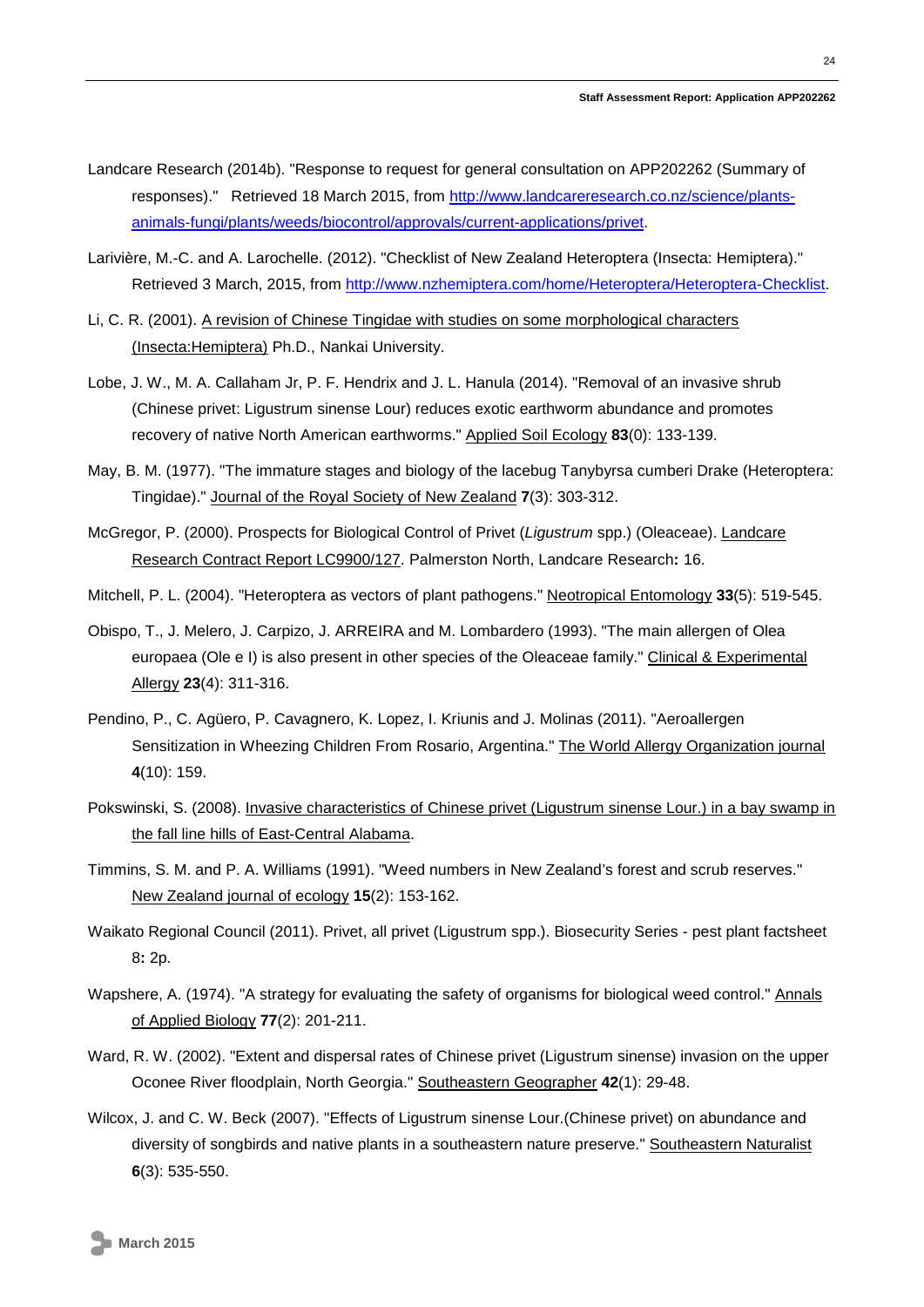- Landcare Research (2014b). "Response to request for general consultation on APP202262 (Summary of responses)." Retrieved 18 March 2015, from [http://www.landcareresearch.co.nz/science/plants](http://www.landcareresearch.co.nz/science/plants-animals-fungi/plants/weeds/biocontrol/approvals/current-applications/privet)[animals-fungi/plants/weeds/biocontrol/approvals/current-applications/privet.](http://www.landcareresearch.co.nz/science/plants-animals-fungi/plants/weeds/biocontrol/approvals/current-applications/privet)
- Larivière, M.-C. and A. Larochelle. (2012). "Checklist of New Zealand Heteroptera (Insecta: Hemiptera)." Retrieved 3 March, 2015, from [http://www.nzhemiptera.com/home/Heteroptera/Heteroptera-Checklist.](http://www.nzhemiptera.com/home/Heteroptera/Heteroptera-Checklist)
- Li, C. R. (2001). A revision of Chinese Tingidae with studies on some morphological characters (Insecta:Hemiptera) Ph.D., Nankai University.
- Lobe, J. W., M. A. Callaham Jr, P. F. Hendrix and J. L. Hanula (2014). "Removal of an invasive shrub (Chinese privet: Ligustrum sinense Lour) reduces exotic earthworm abundance and promotes recovery of native North American earthworms." Applied Soil Ecology **83**(0): 133-139.
- May, B. M. (1977). "The immature stages and biology of the lacebug Tanybyrsa cumberi Drake (Heteroptera: Tingidae)." Journal of the Royal Society of New Zealand **7**(3): 303-312.
- McGregor, P. (2000). Prospects for Biological Control of Privet (*Ligustrum* spp.) (Oleaceae). Landcare Research Contract Report LC9900/127. Palmerston North, Landcare Research**:** 16.
- Mitchell, P. L. (2004). "Heteroptera as vectors of plant pathogens." Neotropical Entomology **33**(5): 519-545.
- Obispo, T., J. Melero, J. Carpizo, J. ARREIRA and M. Lombardero (1993). "The main allergen of Olea europaea (Ole e I) is also present in other species of the Oleaceae family." Clinical & Experimental Allergy **23**(4): 311-316.
- Pendino, P., C. Agüero, P. Cavagnero, K. Lopez, I. Kriunis and J. Molinas (2011). "Aeroallergen Sensitization in Wheezing Children From Rosario, Argentina." The World Allergy Organization journal **4**(10): 159.
- Pokswinski, S. (2008). Invasive characteristics of Chinese privet (Ligustrum sinense Lour.) in a bay swamp in the fall line hills of East-Central Alabama.
- Timmins, S. M. and P. A. Williams (1991). "Weed numbers in New Zealand's forest and scrub reserves." New Zealand journal of ecology **15**(2): 153-162.
- Waikato Regional Council (2011). Privet, all privet (Ligustrum spp.). Biosecurity Series pest plant factsheet 8**:** 2p.
- Wapshere, A. (1974). "A strategy for evaluating the safety of organisms for biological weed control." Annals of Applied Biology **77**(2): 201-211.
- Ward, R. W. (2002). "Extent and dispersal rates of Chinese privet (Ligustrum sinense) invasion on the upper Oconee River floodplain, North Georgia." Southeastern Geographer **42**(1): 29-48.
- Wilcox, J. and C. W. Beck (2007). "Effects of Ligustrum sinense Lour.(Chinese privet) on abundance and diversity of songbirds and native plants in a southeastern nature preserve." Southeastern Naturalist **6**(3): 535-550.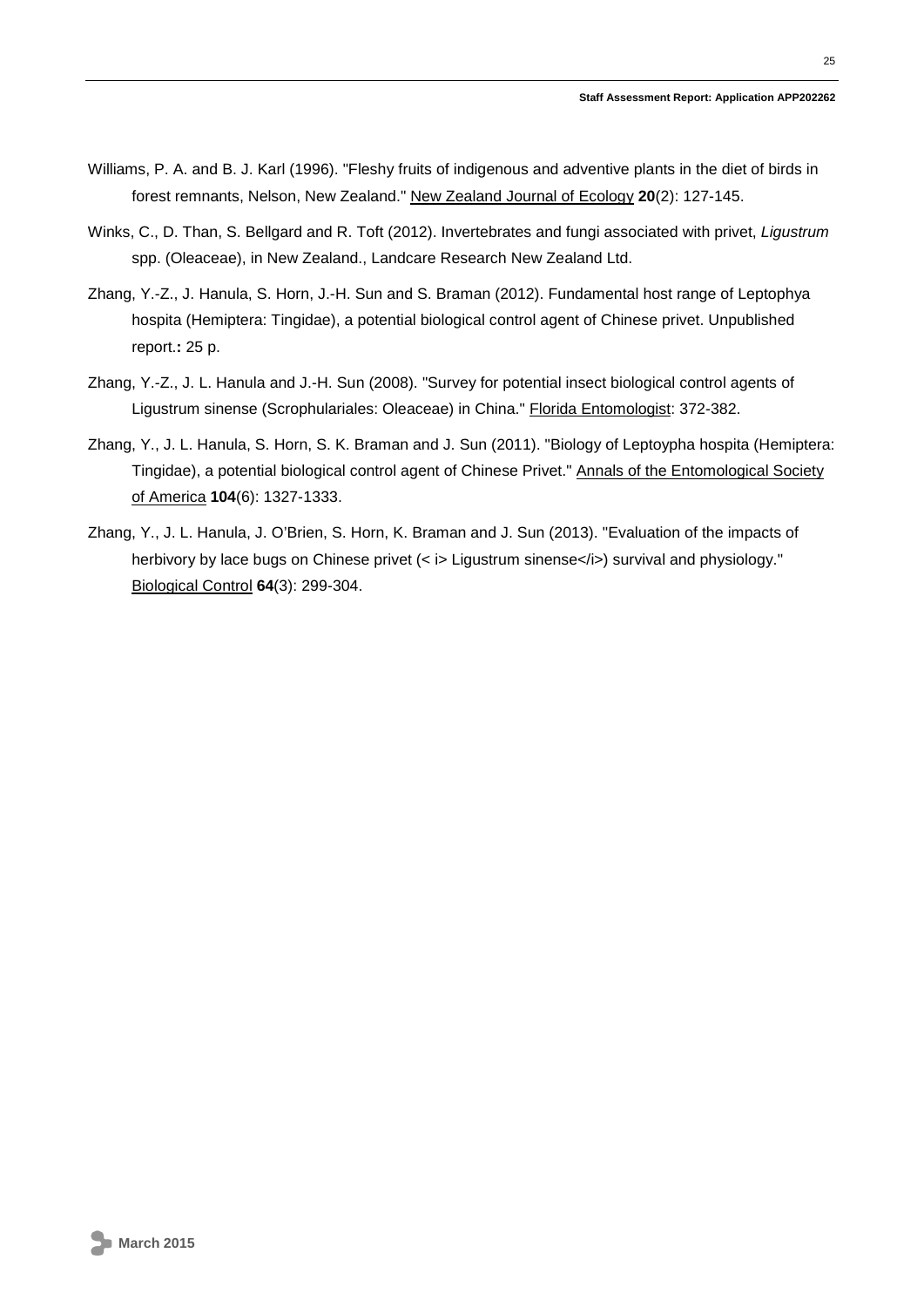- Williams, P. A. and B. J. Karl (1996). "Fleshy fruits of indigenous and adventive plants in the diet of birds in forest remnants, Nelson, New Zealand." New Zealand Journal of Ecology **20**(2): 127-145.
- Winks, C., D. Than, S. Bellgard and R. Toft (2012). Invertebrates and fungi associated with privet, *Ligustrum* spp. (Oleaceae), in New Zealand., Landcare Research New Zealand Ltd.
- Zhang, Y.-Z., J. Hanula, S. Horn, J.-H. Sun and S. Braman (2012). Fundamental host range of Leptophya hospita (Hemiptera: Tingidae), a potential biological control agent of Chinese privet. Unpublished report.**:** 25 p.
- Zhang, Y.-Z., J. L. Hanula and J.-H. Sun (2008). "Survey for potential insect biological control agents of Ligustrum sinense (Scrophulariales: Oleaceae) in China." Florida Entomologist: 372-382.
- Zhang, Y., J. L. Hanula, S. Horn, S. K. Braman and J. Sun (2011). "Biology of Leptoypha hospita (Hemiptera: Tingidae), a potential biological control agent of Chinese Privet." Annals of the Entomological Society of America **104**(6): 1327-1333.
- Zhang, Y., J. L. Hanula, J. O'Brien, S. Horn, K. Braman and J. Sun (2013). "Evaluation of the impacts of herbivory by lace bugs on Chinese privet (< i> Ligustrum sinense</i>) survival and physiology." Biological Control **64**(3): 299-304.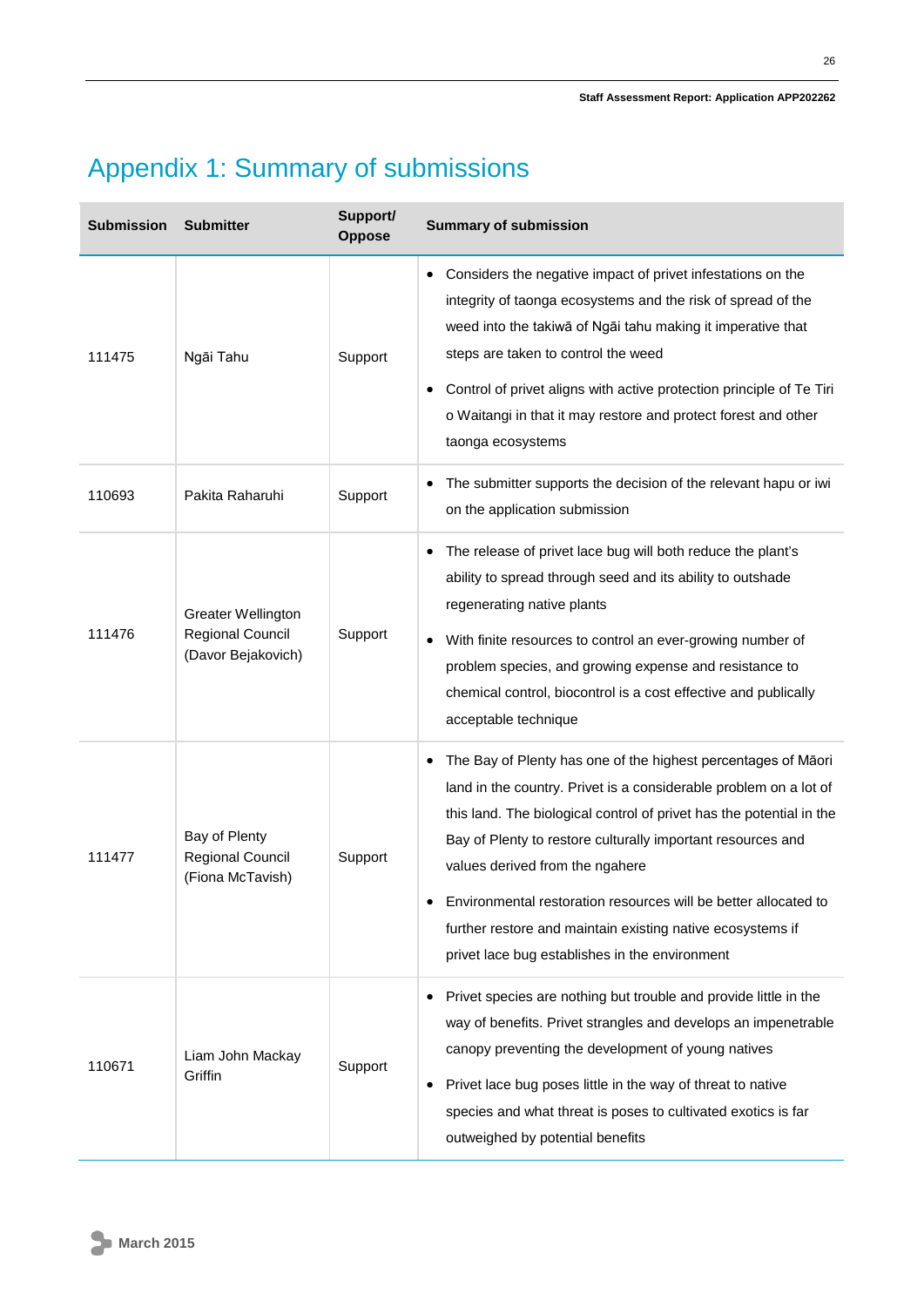# Appendix 1: Summary of submissions

| <b>Submission</b> | <b>Submitter</b>                                                    | Support/<br><b>Oppose</b> | <b>Summary of submission</b>                                                                                                                                                                                                                                                                                                                                                                                                                                                                    |
|-------------------|---------------------------------------------------------------------|---------------------------|-------------------------------------------------------------------------------------------------------------------------------------------------------------------------------------------------------------------------------------------------------------------------------------------------------------------------------------------------------------------------------------------------------------------------------------------------------------------------------------------------|
| 111475            | Ngāi Tahu                                                           | Support                   | Considers the negative impact of privet infestations on the<br>$\bullet$<br>integrity of taonga ecosystems and the risk of spread of the<br>weed into the takiwa of Ngai tahu making it imperative that<br>steps are taken to control the weed<br>Control of privet aligns with active protection principle of Te Tiri<br>o Waitangi in that it may restore and protect forest and other<br>taonga ecosystems                                                                                   |
| 110693            | Pakita Raharuhi                                                     | Support                   | The submitter supports the decision of the relevant hapu or iwi<br>on the application submission                                                                                                                                                                                                                                                                                                                                                                                                |
| 111476            | <b>Greater Wellington</b><br>Regional Council<br>(Davor Bejakovich) | Support                   | The release of privet lace bug will both reduce the plant's<br>ability to spread through seed and its ability to outshade<br>regenerating native plants<br>With finite resources to control an ever-growing number of<br>problem species, and growing expense and resistance to<br>chemical control, biocontrol is a cost effective and publically<br>acceptable technique                                                                                                                      |
| 111477            | Bay of Plenty<br>Regional Council<br>(Fiona McTavish)               | Support                   | The Bay of Plenty has one of the highest percentages of Māori<br>land in the country. Privet is a considerable problem on a lot of<br>this land. The biological control of privet has the potential in the<br>Bay of Plenty to restore culturally important resources and<br>values derived from the ngahere<br>Environmental restoration resources will be better allocated to<br>further restore and maintain existing native ecosystems if<br>privet lace bug establishes in the environment |
| 110671            | Liam John Mackay<br>Griffin                                         | Support                   | Privet species are nothing but trouble and provide little in the<br>way of benefits. Privet strangles and develops an impenetrable<br>canopy preventing the development of young natives<br>Privet lace bug poses little in the way of threat to native<br>species and what threat is poses to cultivated exotics is far<br>outweighed by potential benefits                                                                                                                                    |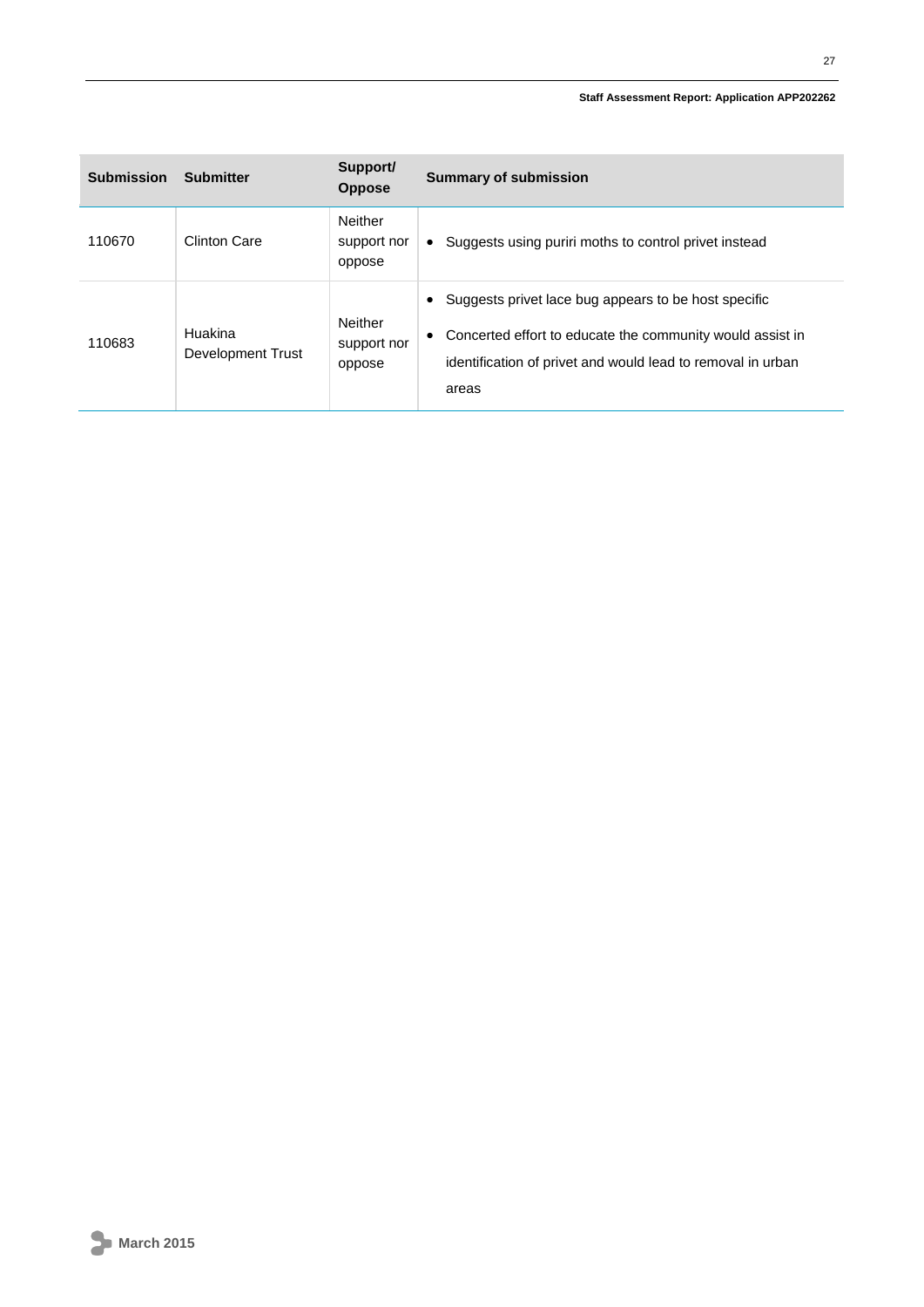| <b>Submission</b> | <b>Submitter</b>             | Support/<br><b>Oppose</b>               | <b>Summary of submission</b>                                                                                                                                                              |
|-------------------|------------------------------|-----------------------------------------|-------------------------------------------------------------------------------------------------------------------------------------------------------------------------------------------|
| 110670            | <b>Clinton Care</b>          | <b>Neither</b><br>support nor<br>oppose | Suggests using puriri moths to control privet instead                                                                                                                                     |
| 110683            | Huakina<br>Development Trust | Neither<br>support nor<br>oppose        | Suggests privet lace bug appears to be host specific<br>Concerted effort to educate the community would assist in<br>identification of privet and would lead to removal in urban<br>areas |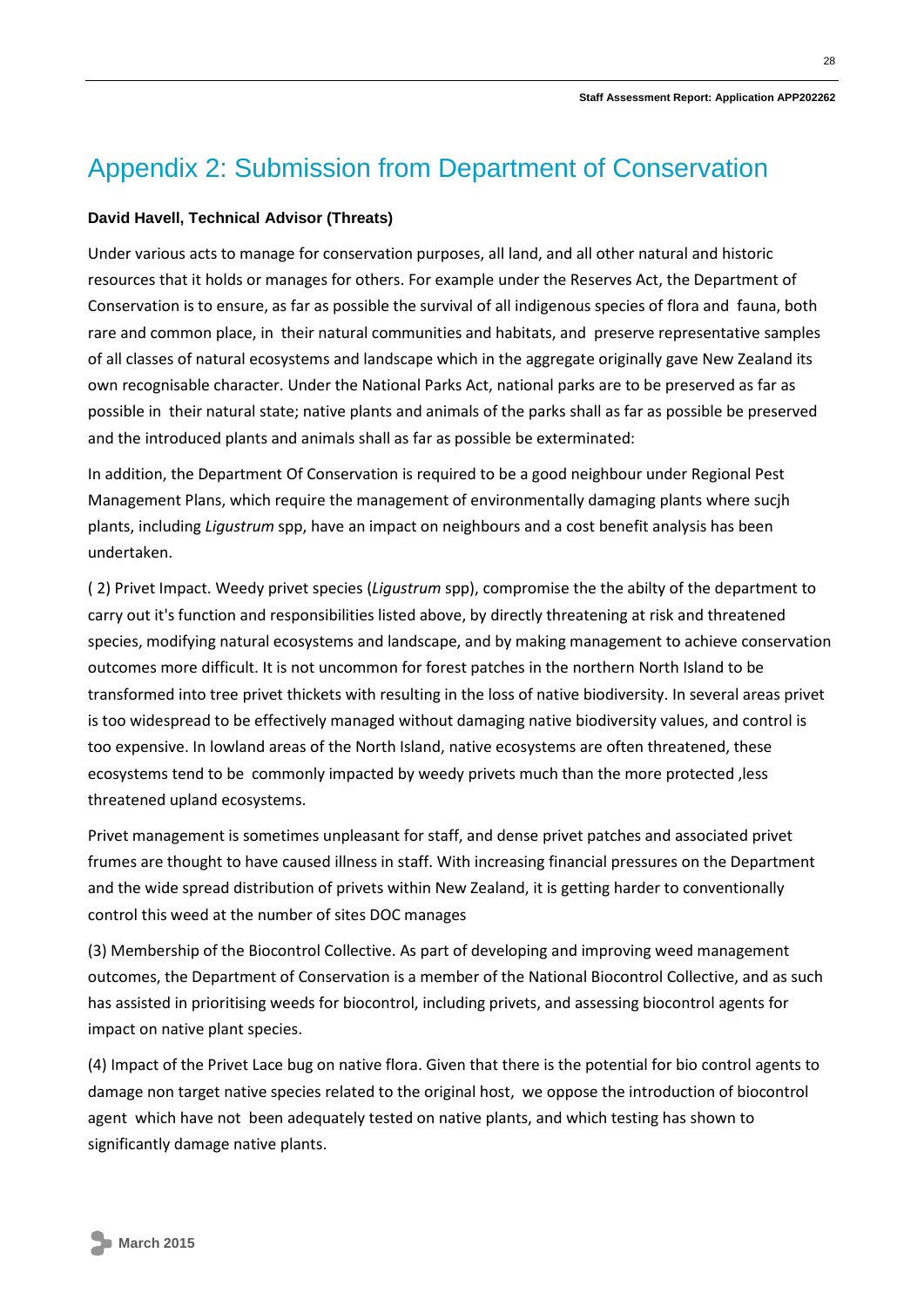## Appendix 2: Submission from Department of Conservation

#### **David Havell, Technical Advisor (Threats)**

Under various acts to manage for conservation purposes, all land, and all other natural and historic resources that it holds or manages for others. For example under the Reserves Act, the Department of Conservation is to ensure, as far as possible the survival of all indigenous species of flora and fauna, both rare and common place, in their natural communities and habitats, and preserve representative samples of all classes of natural ecosystems and landscape which in the aggregate originally gave New Zealand its own recognisable character. Under the National Parks Act, national parks are to be preserved as far as possible in their natural state; native plants and animals of the parks shall as far as possible be preserved and the introduced plants and animals shall as far as possible be exterminated:

In addition, the Department Of Conservation is required to be a good neighbour under Regional Pest Management Plans, which require the management of environmentally damaging plants where sucjh plants, including *Ligustrum* spp, have an impact on neighbours and a cost benefit analysis has been undertaken.

( 2) Privet Impact. Weedy privet species (*Ligustrum* spp), compromise the the abilty of the department to carry out it's function and responsibilities listed above, by directly threatening at risk and threatened species, modifying natural ecosystems and landscape, and by making management to achieve conservation outcomes more difficult. It is not uncommon for forest patches in the northern North Island to be transformed into tree privet thickets with resulting in the loss of native biodiversity. In several areas privet is too widespread to be effectively managed without damaging native biodiversity values, and control is too expensive. In lowland areas of the North Island, native ecosystems are often threatened, these ecosystems tend to be commonly impacted by weedy privets much than the more protected ,less threatened upland ecosystems.

Privet management is sometimes unpleasant for staff, and dense privet patches and associated privet frumes are thought to have caused illness in staff. With increasing financial pressures on the Department and the wide spread distribution of privets within New Zealand, it is getting harder to conventionally control this weed at the number of sites DOC manages

(3) Membership of the Biocontrol Collective. As part of developing and improving weed management outcomes, the Department of Conservation is a member of the National Biocontrol Collective, and as such has assisted in prioritising weeds for biocontrol, including privets, and assessing biocontrol agents for impact on native plant species.

(4) Impact of the Privet Lace bug on native flora. Given that there is the potential for bio control agents to damage non target native species related to the original host, we oppose the introduction of biocontrol agent which have not been adequately tested on native plants, and which testing has shown to significantly damage native plants.